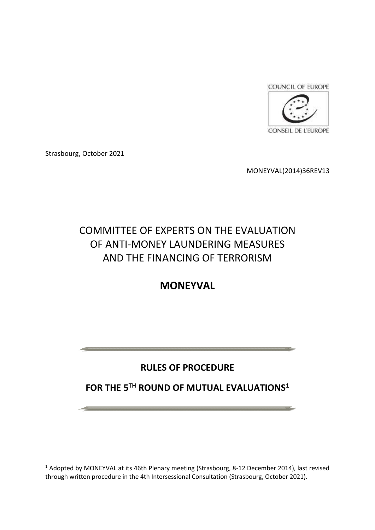

Strasbourg, October 2021

MONEYVAL(2014)36REV13

# COMMITTEE OF EXPERTS ON THE EVALUATION OF ANTI-MONEY LAUNDERING MEASURES AND THE FINANCING OF TERRORISM

# **MONEYVAL**

# **RULES OF PROCEDURE**

# **FOR THE 5TH ROUND OF MUTUAL EVALUATIONS<sup>1</sup>**

<sup>&</sup>lt;sup>1</sup> Adopted by MONEYVAL at its 46th Plenary meeting (Strasbourg, 8-12 December 2014), last revised through written procedure in the 4th Intersessional Consultation (Strasbourg, October 2021).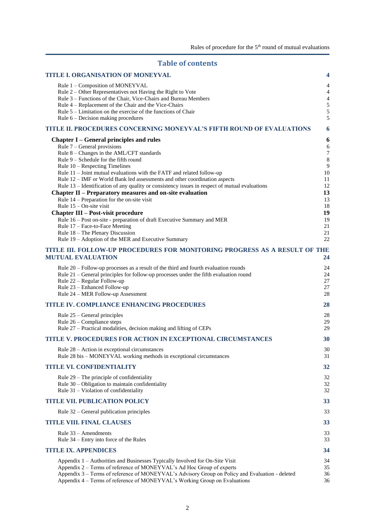# **Table of contents**

| <b>TITLE I. ORGANISATION OF MONEYVAL</b>                                                                                                                                      | 4                                     |
|-------------------------------------------------------------------------------------------------------------------------------------------------------------------------------|---------------------------------------|
| Rule 1 - Composition of MONEYVAL<br>Rule $2$ – Other Representatives not Having the Right to Vote<br>Rule 3 - Functions of the Chair, Vice-Chairs and Bureau Members          | 4<br>$\overline{4}$<br>$\overline{4}$ |
| Rule 4 – Replacement of the Chair and the Vice-Chairs                                                                                                                         | 5                                     |
| Rule 5 – Limitation on the exercise of the functions of Chair                                                                                                                 | 5                                     |
| Rule $6$ – Decision making procedures                                                                                                                                         | 5                                     |
| TITLE II. PROCEDURES CONCERNING MONEYVAL'S FIFTH ROUND OF EVALUATIONS                                                                                                         | 6                                     |
| Chapter I – General principles and rules                                                                                                                                      | 6                                     |
| Rule $7$ – General provisions<br>Rule 8 - Changes in the AML/CFT standards                                                                                                    | $\sqrt{6}$<br>$\boldsymbol{7}$        |
| Rule $9$ – Schedule for the fifth round                                                                                                                                       | $\,8\,$                               |
| Rule $10$ – Respecting Timelines                                                                                                                                              | $\overline{9}$                        |
| Rule $11$ – Joint mutual evaluations with the FATF and related follow-up                                                                                                      | 10                                    |
| Rule 12 - IMF or World Bank led assessments and other coordination aspects                                                                                                    | 11                                    |
| Rule 13 - Identification of any quality or consistency issues in respect of mutual evaluations<br>Chapter II – Preparatory measures and on-site evaluation                    | 12<br>13                              |
| Rule $14$ – Preparation for the on-site visit                                                                                                                                 | 13                                    |
| Rule $15 - On-site visit$                                                                                                                                                     | 18                                    |
| <b>Chapter III – Post-visit procedure</b>                                                                                                                                     | 19                                    |
| Rule 16 – Post on-site - preparation of draft Executive Summary and MER                                                                                                       | 19                                    |
| Rule 17 - Face-to-Face Meeting<br>Rule 18 - The Plenary Discussion                                                                                                            | 21<br>21                              |
| Rule 19 - Adoption of the MER and Executive Summary                                                                                                                           | 22                                    |
| TITLE III. FOLLOW-UP PROCEDURES FOR MONITORING PROGRESS AS A RESULT OF THE<br><b>MUTUAL EVALUATION</b>                                                                        | 24                                    |
| Rule 20 – Follow-up processes as a result of the third and fourth evaluation rounds                                                                                           | 24                                    |
| Rule 21 – General principles for follow-up processes under the fifth evaluation round                                                                                         | 24                                    |
| Rule 22 - Regular Follow-up                                                                                                                                                   | 27                                    |
| Rule 23 - Enhanced Follow-up<br>Rule 24 - MER Follow-up Assessment                                                                                                            | 27<br>28                              |
| <b>TITLE IV. COMPLIANCE ENHANCING PROCEDURES</b>                                                                                                                              | 28                                    |
|                                                                                                                                                                               |                                       |
| Rule $25$ – General principles                                                                                                                                                | 28                                    |
| Rule $26$ – Compliance steps<br>Rule 27 – Practical modalities, decision making and lifting of CEPs                                                                           | 29<br>29                              |
| <b>TITLE V. PROCEDURES FOR ACTION IN EXCEPTIONAL CIRCUMSTANCES</b>                                                                                                            | 30                                    |
|                                                                                                                                                                               |                                       |
| Rule $28 -$ Action in exceptional circumstances<br>Rule 28 bis – MONEYVAL working methods in exceptional circumstances                                                        | 30<br>31                              |
| <b>TITLE VI. CONFIDENTIALITY</b>                                                                                                                                              | 32                                    |
| Rule $29$ – The principle of confidentiality                                                                                                                                  | 32                                    |
| Rule 30 - Obligation to maintain confidentiality                                                                                                                              | 32                                    |
| Rule $31$ – Violation of confidentiality                                                                                                                                      | 32                                    |
| <b>TITLE VII. PUBLICATION POLICY</b>                                                                                                                                          | 33                                    |
| Rule 32 – General publication principles                                                                                                                                      | 33                                    |
| <b>TITLE VIII. FINAL CLAUSES</b>                                                                                                                                              | 33                                    |
| Rule $33 -$ Amendments<br>Rule 34 – Entry into force of the Rules                                                                                                             | 33<br>33                              |
| <b>TITLE IX. APPENDICES</b>                                                                                                                                                   | 34                                    |
| Appendix 1 - Authorities and Businesses Typically Involved for On-Site Visit                                                                                                  | 34                                    |
| Appendix 2 – Terms of reference of MONEYVAL's Ad Hoc Group of experts                                                                                                         | 35                                    |
| Appendix 3 - Terms of reference of MONEYVAL's Advisory Group on Policy and Evaluation - deleted<br>Appendix 4 – Terms of reference of MONEYVAL's Working Group on Evaluations | 36<br>36                              |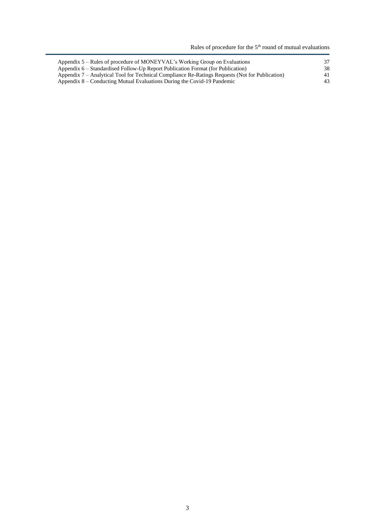Rules of procedure for the  $5<sup>th</sup>$  round of mutual evaluations

| Appendix 5 – Rules of procedure of MONEYVAL's Working Group on Evaluations                      | 37 |
|-------------------------------------------------------------------------------------------------|----|
| Appendix 6 – Standardised Follow-Up Report Publication Format (for Publication)                 | 38 |
| Appendix 7 – Analytical Tool for Technical Compliance Re-Ratings Requests (Not for Publication) | 41 |
| Appendix 8 – Conducting Mutual Evaluations During the Covid-19 Pandemic                         | 43 |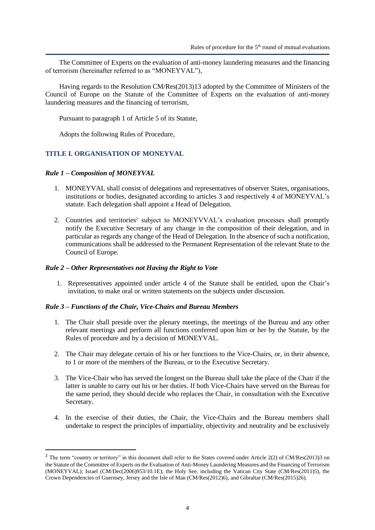The Committee of Experts on the evaluation of anti-money laundering measures and the financing of terrorism (hereinafter referred to as "MONEYVAL"),

Having regards to the Resolution CM/Res(2013)13 adopted by the Committee of Ministers of the Council of Europe on the Statute of the Committee of Experts on the evaluation of anti-money laundering measures and the financing of terrorism,

Pursuant to paragraph 1 of Article 5 of its Statute,

Adopts the following Rules of Procedure,

#### <span id="page-3-0"></span>**TITLE I. ORGANISATION OF MONEYVAL**

#### <span id="page-3-1"></span>*Rule 1 – Composition of MONEYVAL*

- 1. MONEYVAL shall consist of delegations and representatives of observer States, organisations, institutions or bodies, designated according to articles 3 and respectively 4 of MONEYVAL's statute. Each delegation shall appoint a Head of Delegation.
- 2. Countries and territories<sup>2</sup> subject to MONEYVVAL's evaluation processes shall promptly notify the Executive Secretary of any change in the composition of their delegation, and in particular as regards any change of the Head of Delegation. In the absence of such a notification, communications shall be addressed to the Permanent Representation of the relevant State to the Council of Europe.

#### <span id="page-3-2"></span>*Rule 2 – Other Representatives not Having the Right to Vote*

1. Representatives appointed under article 4 of the Statute shall be entitled, upon the Chair's invitation, to make oral or written statements on the subjects under discussion.

#### <span id="page-3-3"></span>*Rule 3 – Functions of the Chair, Vice-Chairs and Bureau Members*

- 1. The Chair shall preside over the plenary meetings, the meetings of the Bureau and any other relevant meetings and perform all functions conferred upon him or her by the Statute, by the Rules of procedure and by a decision of MONEYVAL.
- 2. The Chair may delegate certain of his or her functions to the Vice-Chairs, or, in their absence, to 1 or more of the members of the Bureau, or to the Executive Secretary.
- 3. The Vice-Chair who has served the longest on the Bureau shall take the place of the Chair if the latter is unable to carry out his or her duties. If both Vice-Chairs have served on the Bureau for the same period, they should decide who replaces the Chair, in consultation with the Executive Secretary.
- 4. In the exercise of their duties, the Chair, the Vice-Chairs and the Bureau members shall undertake to respect the principles of impartiality, objectivity and neutrality and be exclusively

<sup>&</sup>lt;sup>2</sup> The term "country or territory" in this document shall refer to the States covered under Article 2(2) of CM/Res(2013)3 on the Statute of the Committee of Experts on the Evaluation of Anti-Money Laundering Measures and the Financing of Terrorism (MONEYVAL); Israel (CM/Dec(2006)953/10.1E); the Holy See, including the Vatican City State (CM/Res(2011)5), the Crown Dependencies of Guernsey, Jersey and the Isle of Man (CM/Res(2012)6), and Gibraltar (CM/Res(2015)26).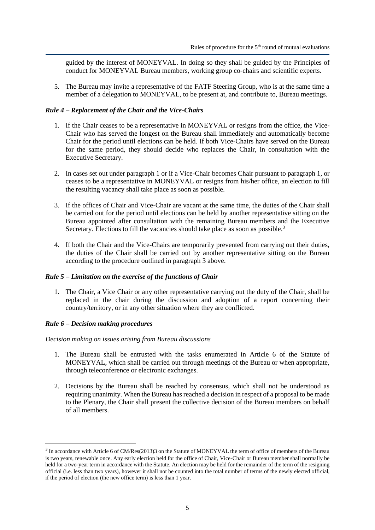guided by the interest of MONEYVAL. In doing so they shall be guided by the Principles of conduct for MONEYVAL Bureau members, working group co-chairs and scientific experts.

5. The Bureau may invite a representative of the FATF Steering Group, who is at the same time a member of a delegation to MONEYVAL, to be present at, and contribute to, Bureau meetings.

#### <span id="page-4-0"></span>*Rule 4 – Replacement of the Chair and the Vice-Chairs*

- 1. If the Chair ceases to be a representative in MONEYVAL or resigns from the office, the Vice-Chair who has served the longest on the Bureau shall immediately and automatically become Chair for the period until elections can be held. If both Vice-Chairs have served on the Bureau for the same period, they should decide who replaces the Chair, in consultation with the Executive Secretary.
- 2. In cases set out under paragraph 1 or if a Vice-Chair becomes Chair pursuant to paragraph 1, or ceases to be a representative in MONEYVAL or resigns from his/her office, an election to fill the resulting vacancy shall take place as soon as possible.
- 3. If the offices of Chair and Vice-Chair are vacant at the same time, the duties of the Chair shall be carried out for the period until elections can be held by another representative sitting on the Bureau appointed after consultation with the remaining Bureau members and the Executive Secretary. Elections to fill the vacancies should take place as soon as possible.<sup>3</sup>
- 4. If both the Chair and the Vice-Chairs are temporarily prevented from carrying out their duties, the duties of the Chair shall be carried out by another representative sitting on the Bureau according to the procedure outlined in paragraph 3 above.

#### <span id="page-4-1"></span>*Rule 5 – Limitation on the exercise of the functions of Chair*

1. The Chair, a Vice Chair or any other representative carrying out the duty of the Chair, shall be replaced in the chair during the discussion and adoption of a report concerning their country/territory, or in any other situation where they are conflicted.

#### <span id="page-4-2"></span>*Rule 6 – Decision making procedures*

*Decision making on issues arising from Bureau discussions*

- 1. The Bureau shall be entrusted with the tasks enumerated in Article 6 of the Statute of MONEYVAL, which shall be carried out through meetings of the Bureau or when appropriate, through teleconference or electronic exchanges.
- 2. Decisions by the Bureau shall be reached by consensus, which shall not be understood as requiring unanimity. When the Bureau has reached a decision in respect of a proposal to be made to the Plenary, the Chair shall present the collective decision of the Bureau members on behalf of all members.

<sup>&</sup>lt;sup>3</sup> In accordance with Article 6 of CM/Res(2013)3 on the Statute of MONEYVAL the term of office of members of the Bureau is two years, renewable once. Any early election held for the office of Chair, Vice-Chair or Bureau member shall normally be held for a two-year term in accordance with the Statute. An election may be held for the remainder of the term of the resigning official (i.e. less than two years), however it shall not be counted into the total number of terms of the newly elected official, if the period of election (the new office term) is less than 1 year.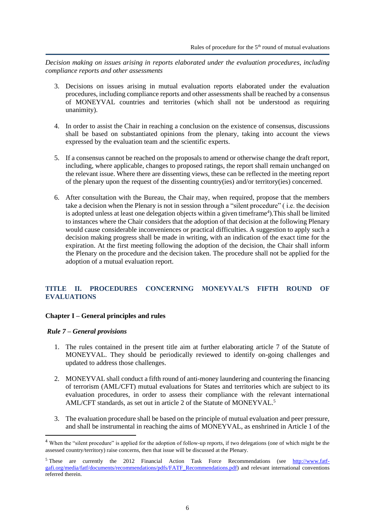*Decision making on issues arising in reports elaborated under the evaluation procedures, including compliance reports and other assessments*

- 3. Decisions on issues arising in mutual evaluation reports elaborated under the evaluation procedures, including compliance reports and other assessments shall be reached by a consensus of MONEYVAL countries and territories (which shall not be understood as requiring unanimity).
- 4. In order to assist the Chair in reaching a conclusion on the existence of consensus, discussions shall be based on substantiated opinions from the plenary, taking into account the views expressed by the evaluation team and the scientific experts.
- 5. If a consensus cannot be reached on the proposals to amend or otherwise change the draft report, including, where applicable, changes to proposed ratings, the report shall remain unchanged on the relevant issue. Where there are dissenting views, these can be reflected in the meeting report of the plenary upon the request of the dissenting country(ies) and/or territory(ies) concerned.
- 6. After consultation with the Bureau, the Chair may, when required, propose that the members take a decision when the Plenary is not in session through a "silent procedure" ( i.e. the decision is adopted unless at least one delegation objects within a given timeframe<sup>4</sup>). This shall be limited to instances where the Chair considers that the adoption of that decision at the following Plenary would cause considerable inconveniences or practical difficulties. A suggestion to apply such a decision making progress shall be made in writing, with an indication of the exact time for the expiration. At the first meeting following the adoption of the decision, the Chair shall inform the Plenary on the procedure and the decision taken. The procedure shall not be applied for the adoption of a mutual evaluation report.

# <span id="page-5-0"></span>**TITLE II. PROCEDURES CONCERNING MONEYVAL'S FIFTH ROUND OF EVALUATIONS**

## <span id="page-5-1"></span>**Chapter I – General principles and rules**

#### <span id="page-5-2"></span>*Rule 7 – General provisions*

- 1. The rules contained in the present title aim at further elaborating article 7 of the Statute of MONEYVAL. They should be periodically reviewed to identify on-going challenges and updated to address those challenges.
- 2. MONEYVAL shall conduct a fifth round of anti-money laundering and countering the financing of terrorism (AML/CFT) mutual evaluations for States and territories which are subject to its evaluation procedures, in order to assess their compliance with the relevant international AML/CFT standards, as set out in article 2 of the Statute of MONEYVAL. 5
- 3. The evaluation procedure shall be based on the principle of mutual evaluation and peer pressure, and shall be instrumental in reaching the aims of MONEYVAL, as enshrined in Article 1 of the

<sup>&</sup>lt;sup>4</sup> When the "silent procedure" is applied for the adoption of follow-up reports, if two delegations (one of which might be the assessed country/territory) raise concerns, then that issue will be discussed at the Plenary.

<sup>&</sup>lt;sup>5</sup> These are currently the 2012 Financial Action Task Force Recommendations (see [http://www.fatf](http://www.fatf-gafi.org/media/fatf/documents/recommendations/pdfs/FATF_Recommendations.pdf)[gafi.org/media/fatf/documents/recommendations/pdfs/FATF\\_Recommendations.pdf\)](http://www.fatf-gafi.org/media/fatf/documents/recommendations/pdfs/FATF_Recommendations.pdf) and relevant international conventions referred therein.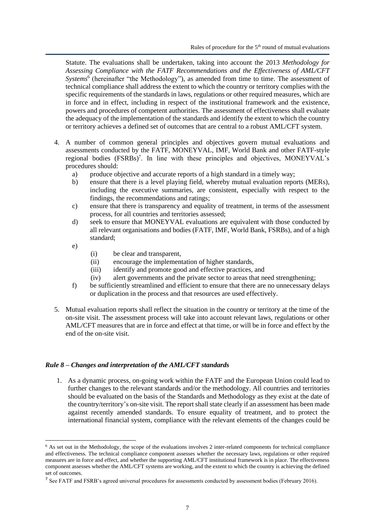Statute. The evaluations shall be undertaken, taking into account the 2013 *Methodology for Assessing Compliance with the FATF Recommendations and the Effectiveness of AML/CFT*  Systems<sup>6</sup> (hereinafter "the Methodology"), as amended from time to time. The assessment of technical compliance shall address the extent to which the country or territory complies with the specific requirements of the standards in laws, regulations or other required measures, which are in force and in effect, including in respect of the institutional framework and the existence, powers and procedures of competent authorities. The assessment of effectiveness shall evaluate the adequacy of the implementation of the standards and identify the extent to which the country or territory achieves a defined set of outcomes that are central to a robust AML/CFT system.

- 4. A number of common general principles and objectives govern mutual evaluations and assessments conducted by the FATF, MONEYVAL, IMF, World Bank and other FATF-style regional bodies (FSRBs)<sup>7</sup>. In line with these principles and objectives, MONEYVAL's procedures should:
	- a) produce objective and accurate reports of a high standard in a timely way;
	- b) ensure that there is a level playing field, whereby mutual evaluation reports (MERs), including the executive summaries, are consistent, especially with respect to the findings, the recommendations and ratings;
	- c) ensure that there is transparency and equality of treatment, in terms of the assessment process, for all countries and territories assessed;
	- d) seek to ensure that MONEYVAL evaluations are equivalent with those conducted by all relevant organisations and bodies (FATF, IMF, World Bank, FSRBs), and of a high standard;
	- e)
- (i) be clear and transparent,
- (ii) encourage the implementation of higher standards,
- (iii) identify and promote good and effective practices, and
- (iv) alert governments and the private sector to areas that need strengthening;
- f) be sufficiently streamlined and efficient to ensure that there are no unnecessary delays or duplication in the process and that resources are used effectively.
- 5. Mutual evaluation reports shall reflect the situation in the country or territory at the time of the on-site visit. The assessment process will take into account relevant laws, regulations or other AML/CFT measures that are in force and effect at that time, or will be in force and effect by the end of the on-site visit.

#### <span id="page-6-0"></span>*Rule 8 – Changes and interpretation of the AML/CFT standards*

1. As a dynamic process, on-going work within the FATF and the European Union could lead to further changes to the relevant standards and/or the methodology. All countries and territories should be evaluated on the basis of the Standards and Methodology as they exist at the date of the country/territory's on-site visit. The report shall state clearly if an assessment has been made against recently amended standards. To ensure equality of treatment, and to protect the international financial system, compliance with the relevant elements of the changes could be

 $6$  As set out in the Methodology, the scope of the evaluations involves 2 inter-related components for technical compliance and effectiveness. The technical compliance component assesses whether the necessary laws, regulations or other required measures are in force and effect, and whether the supporting AML/CFT institutional framework is in place. The effectiveness component assesses whether the AML/CFT systems are working, and the extent to which the country is achieving the defined set of outcomes.

<sup>&</sup>lt;sup>7</sup> See FATF and FSRB's agreed universal procedures for assessments conducted by assessment bodies (February 2016).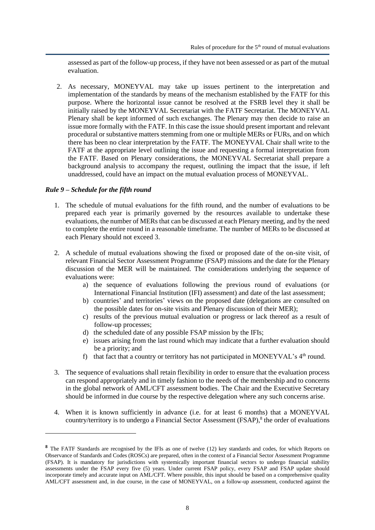assessed as part of the follow-up process, if they have not been assessed or as part of the mutual evaluation.

2. As necessary, MONEYVAL may take up issues pertinent to the interpretation and implementation of the standards by means of the mechanism established by the FATF for this purpose. Where the horizontal issue cannot be resolved at the FSRB level they it shall be initially raised by the MONEYVAL Secretariat with the FATF Secretariat. The MONEYVAL Plenary shall be kept informed of such exchanges. The Plenary may then decide to raise an issue more formally with the FATF. In this case the issue should present important and relevant procedural or substantive matters stemming from one or multiple MERs or FURs, and on which there has been no clear interpretation by the FATF. The MONEYVAL Chair shall write to the FATF at the appropriate level outlining the issue and requesting a formal interpretation from the FATF. Based on Plenary considerations, the MONEYVAL Secretariat shall prepare a background analysis to accompany the request, outlining the impact that the issue, if left unaddressed, could have an impact on the mutual evaluation process of MONEYVAL.

## <span id="page-7-0"></span>*Rule 9 – Schedule for the fifth round*

- 1. The schedule of mutual evaluations for the fifth round, and the number of evaluations to be prepared each year is primarily governed by the resources available to undertake these evaluations, the number of MERs that can be discussed at each Plenary meeting, and by the need to complete the entire round in a reasonable timeframe. The number of MERs to be discussed at each Plenary should not exceed 3.
- 2. A schedule of mutual evaluations showing the fixed or proposed date of the on-site visit, of relevant Financial Sector Assessment Programme (FSAP) missions and the date for the Plenary discussion of the MER will be maintained. The considerations underlying the sequence of evaluations were:
	- a) the sequence of evaluations following the previous round of evaluations (or International Financial Institution (IFI) assessment) and date of the last assessment;
	- b) countries' and territories' views on the proposed date (delegations are consulted on the possible dates for on-site visits and Plenary discussion of their MER);
	- c) results of the previous mutual evaluation or progress or lack thereof as a result of follow-up processes;
	- d) the scheduled date of any possible FSAP mission by the IFIs;
	- e) issues arising from the last round which may indicate that a further evaluation should be a priority; and
	- f) that fact that a country or territory has not participated in MONEYVAL's  $4<sup>th</sup>$  round.
- 3. The sequence of evaluations shall retain flexibility in order to ensure that the evaluation process can respond appropriately and in timely fashion to the needs of the membership and to concerns in the global network of AML/CFT assessment bodies. The Chair and the Executive Secretary should be informed in due course by the respective delegation where any such concerns arise.
- 4. When it is known sufficiently in advance (i.e. for at least 6 months) that a MONEYVAL country/territory is to undergo a Financial Sector Assessment (FSAP),<sup>8</sup> the order of evaluations

**<sup>8</sup>** The FATF Standards are recognised by the IFIs as one of twelve (12) key standards and codes, for which Reports on Observance of Standards and Codes (ROSCs) are prepared, often in the context of a Financial Sector Assessment Programme (FSAP). It is mandatory for jurisdictions with systemically important financial sectors to undergo financial stability assessments under the FSAP every five (5) years. Under current FSAP policy, every FSAP and FSAP update should incorporate timely and accurate input on AML/CFT. Where possible, this input should be based on a comprehensive quality AML/CFT assessment and, in due course, in the case of MONEYVAL, on a follow-up assessment, conducted against the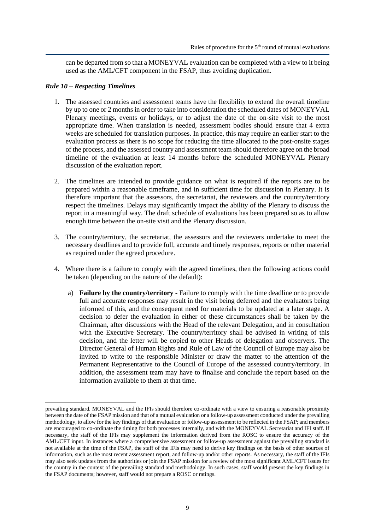can be departed from so that a MONEYVAL evaluation can be completed with a view to it being used as the AML/CFT component in the FSAP, thus avoiding duplication.

#### <span id="page-8-0"></span>*Rule 10 – Respecting Timelines*

- 1. The assessed countries and assessment teams have the flexibility to extend the overall timeline by up to one or 2 months in order to take into consideration the scheduled dates of MONEYVAL Plenary meetings, events or holidays, or to adjust the date of the on-site visit to the most appropriate time. When translation is needed, assessment bodies should ensure that 4 extra weeks are scheduled for translation purposes. In practice, this may require an earlier start to the evaluation process as there is no scope for reducing the time allocated to the post-onsite stages of the process, and the assessed country and assessment team should therefore agree on the broad timeline of the evaluation at least 14 months before the scheduled MONEYVAL Plenary discussion of the evaluation report*.*
- 2. The timelines are intended to provide guidance on what is required if the reports are to be prepared within a reasonable timeframe, and in sufficient time for discussion in Plenary. It is therefore important that the assessors, the secretariat, the reviewers and the country/territory respect the timelines. Delays may significantly impact the ability of the Plenary to discuss the report in a meaningful way. The draft schedule of evaluations has been prepared so as to allow enough time between the on-site visit and the Plenary discussion.
- 3. The country/territory, the secretariat, the assessors and the reviewers undertake to meet the necessary deadlines and to provide full, accurate and timely responses, reports or other material as required under the agreed procedure.
- 4. Where there is a failure to comply with the agreed timelines, then the following actions could be taken (depending on the nature of the default):
	- a) **Failure by the country/territory** Failure to comply with the time deadline or to provide full and accurate responses may result in the visit being deferred and the evaluators being informed of this, and the consequent need for materials to be updated at a later stage. A decision to defer the evaluation in either of these circumstances shall be taken by the Chairman, after discussions with the Head of the relevant Delegation, and in consultation with the Executive Secretary. The country/territory shall be advised in writing of this decision, and the letter will be copied to other Heads of delegation and observers. The Director General of Human Rights and Rule of Law of the Council of Europe may also be invited to write to the responsible Minister or draw the matter to the attention of the Permanent Representative to the Council of Europe of the assessed country/territory. In addition, the assessment team may have to finalise and conclude the report based on the information available to them at that time.

prevailing standard. MONEYVAL and the IFIs should therefore co-ordinate with a view to ensuring a reasonable proximity between the date of the FSAP mission and that of a mutual evaluation or a follow-up assessment conducted under the prevailing methodology, to allow for the key findings of that evaluation or follow-up assessment to be reflected in the FSAP; and members are encouraged to co-ordinate the timing for both processes internally, and with the MONEYVAL Secretariat and IFI staff. If necessary, the staff of the IFIs may supplement the information derived from the ROSC to ensure the accuracy of the AML/CFT input. In instances where a comprehensive assessment or follow-up assessment against the prevailing standard is not available at the time of the FSAP, the staff of the IFIs may need to derive key findings on the basis of other sources of information, such as the most recent assessment report, and follow-up and/or other reports. As necessary, the staff of the IFIs may also seek updates from the authorities or join the FSAP mission for a review of the most significant AML/CFT issues for the country in the context of the prevailing standard and methodology. In such cases, staff would present the key findings in the FSAP documents; however, staff would not prepare a ROSC or ratings.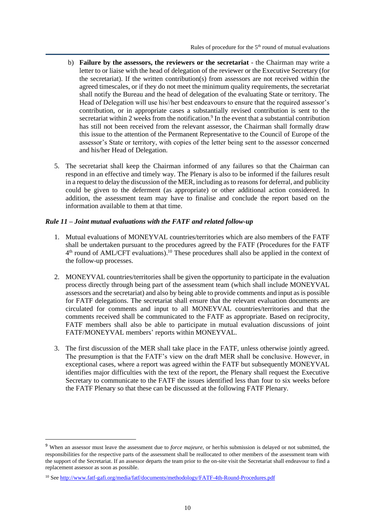- b) **Failure by the assessors, the reviewers or the secretariat** the Chairman may write a letter to or liaise with the head of delegation of the reviewer or the Executive Secretary (for the secretariat). If the written contribution(s) from assessors are not received within the agreed timescales, or if they do not meet the minimum quality requirements, the secretariat shall notify the Bureau and the head of delegation of the evaluating State or territory. The Head of Delegation will use his//her best endeavours to ensure that the required assessor's contribution, or in appropriate cases a substantially revised contribution is sent to the secretariat within 2 weeks from the notification.<sup>9</sup> In the event that a substantial contribution has still not been received from the relevant assessor, the Chairman shall formally draw this issue to the attention of the Permanent Representative to the Council of Europe of the assessor's State or territory, with copies of the letter being sent to the assessor concerned and his/her Head of Delegation.
- 5. The secretariat shall keep the Chairman informed of any failures so that the Chairman can respond in an effective and timely way. The Plenary is also to be informed if the failures result in a request to delay the discussion of the MER, including as to reasons for deferral, and publicity could be given to the deferment (as appropriate) or other additional action considered. In addition, the assessment team may have to finalise and conclude the report based on the information available to them at that time.

#### <span id="page-9-0"></span>*Rule 11 – Joint mutual evaluations with the FATF and related follow-up*

- 1. Mutual evaluations of MONEYVAL countries/territories which are also members of the FATF shall be undertaken pursuant to the procedures agreed by the FATF (Procedures for the FATF 4<sup>th</sup> round of AML/CFT evaluations).<sup>10</sup> These procedures shall also be applied in the context of the follow-up processes.
- 2. MONEYVAL countries/territories shall be given the opportunity to participate in the evaluation process directly through being part of the assessment team (which shall include MONEYVAL assessors and the secretariat) and also by being able to provide comments and input as is possible for FATF delegations. The secretariat shall ensure that the relevant evaluation documents are circulated for comments and input to all MONEYVAL countries/territories and that the comments received shall be communicated to the FATF as appropriate. Based on reciprocity, FATF members shall also be able to participate in mutual evaluation discussions of joint FATF/MONEYVAL members' reports within MONEYVAL.
- 3. The first discussion of the MER shall take place in the FATF, unless otherwise jointly agreed. The presumption is that the FATF's view on the draft MER shall be conclusive. However, in exceptional cases, where a report was agreed within the FATF but subsequently MONEYVAL identifies major difficulties with the text of the report, the Plenary shall request the Executive Secretary to communicate to the FATF the issues identified less than four to six weeks before the FATF Plenary so that these can be discussed at the following FATF Plenary.

<sup>9</sup> When an assessor must leave the assessment due to *force majeure,* or her/his submission is delayed or not submitted, the responsibilities for the respective parts of the assessment shall be reallocated to other members of the assessment team with the support of the Secretariat. If an assessor departs the team prior to the on-site visit the Secretariat shall endeavour to find a replacement assessor as soon as possible.

<sup>&</sup>lt;sup>10</sup> Se[e http://www.fatf-gafi.org/media/fatf/documents/methodology/FATF-4th-Round-Procedures.pdf](http://www.fatf-gafi.org/media/fatf/documents/methodology/FATF-4th-Round-Procedures.pdf)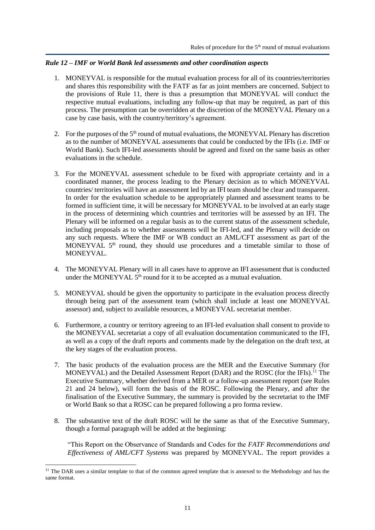## <span id="page-10-0"></span>*Rule 12 – IMF or World Bank led assessments and other coordination aspects*

- 1. MONEYVAL is responsible for the mutual evaluation process for all of its countries/territories and shares this responsibility with the FATF as far as joint members are concerned. Subject to the provisions of Rule 11, there is thus a presumption that MONEYVAL will conduct the respective mutual evaluations, including any follow-up that may be required, as part of this process. The presumption can be overridden at the discretion of the MONEYVAL Plenary on a case by case basis, with the country/territory's agreement.
- 2. For the purposes of the 5<sup>th</sup> round of mutual evaluations, the MONEYVAL Plenary has discretion as to the number of MONEYVAL assessments that could be conducted by the IFIs (i.e. IMF or World Bank). Such IFI-led assessments should be agreed and fixed on the same basis as other evaluations in the schedule.
- 3. For the MONEYVAL assessment schedule to be fixed with appropriate certainty and in a coordinated manner, the process leading to the Plenary decision as to which MONEYVAL countries/ territories will have an assessment led by an IFI team should be clear and transparent. In order for the evaluation schedule to be appropriately planned and assessment teams to be formed in sufficient time, it will be necessary for MONEYVAL to be involved at an early stage in the process of determining which countries and territories will be assessed by an IFI. The Plenary will be informed on a regular basis as to the current status of the assessment schedule, including proposals as to whether assessments will be IFI-led, and the Plenary will decide on any such requests. Where the IMF or WB conduct an AML/CFT assessment as part of the MONEYVAL  $5<sup>th</sup>$  round, they should use procedures and a timetable similar to those of MONEYVAL.
- 4. The MONEYVAL Plenary will in all cases have to approve an IFI assessment that is conducted under the MONEYVAL 5<sup>th</sup> round for it to be accepted as a mutual evaluation.
- 5. MONEYVAL should be given the opportunity to participate in the evaluation process directly through being part of the assessment team (which shall include at least one MONEYVAL assessor) and, subject to available resources, a MONEYVAL secretariat member.
- 6. Furthermore, a country or territory agreeing to an IFI-led evaluation shall consent to provide to the MONEYVAL secretariat a copy of all evaluation documentation communicated to the IFI, as well as a copy of the draft reports and comments made by the delegation on the draft text, at the key stages of the evaluation process.
- 7. The basic products of the evaluation process are the MER and the Executive Summary (for MONEYVAL) and the Detailed Assessment Report (DAR) and the ROSC (for the IFIs).<sup>11</sup> The Executive Summary, whether derived from a MER or a follow-up assessment report (see Rules 21 and 24 below), will form the basis of the ROSC. Following the Plenary, and after the finalisation of the Executive Summary, the summary is provided by the secretariat to the IMF or World Bank so that a ROSC can be prepared following a pro forma review.
- 8. The substantive text of the draft ROSC will be the same as that of the Executive Summary, though a formal paragraph will be added at the beginning:

"This Report on the Observance of Standards and Codes for the *FATF Recommendations and Effectiveness of AML/CFT Systems* was prepared by MONEYVAL. The report provides a

<sup>&</sup>lt;sup>11</sup> The DAR uses a similar template to that of the common agreed template that is annexed to the Methodology and has the same format.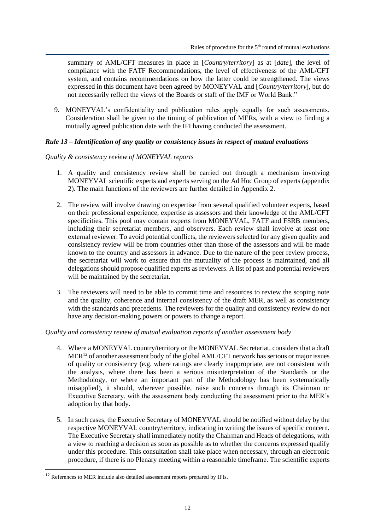summary of AML/CFT measures in place in [*Country/territory*] as at [*date*], the level of compliance with the FATF Recommendations, the level of effectiveness of the AML/CFT system, and contains recommendations on how the latter could be strengthened. The views expressed in this document have been agreed by MONEYVAL and [*Country/territory*], but do not necessarily reflect the views of the Boards or staff of the IMF or World Bank."

9. MONEYVAL's confidentiality and publication rules apply equally for such assessments. Consideration shall be given to the timing of publication of MERs, with a view to finding a mutually agreed publication date with the IFI having conducted the assessment.

## <span id="page-11-0"></span>*Rule 13 – Identification of any quality or consistency issues in respect of mutual evaluations*

## *Quality & consistency review of MONEYVAL reports*

- 1. A quality and consistency review shall be carried out through a mechanism involving MONEYVAL scientific experts and experts serving on the Ad Hoc Group of experts (appendix 2). The main functions of the reviewers are further detailed in Appendix 2.
- 2. The review will involve drawing on expertise from several qualified volunteer experts, based on their professional experience, expertise as assessors and their knowledge of the AML/CFT specificities. This pool may contain experts from MONEYVAL, FATF and FSRB members, including their secretariat members, and observers. Each review shall involve at least one external reviewer. To avoid potential conflicts, the reviewers selected for any given quality and consistency review will be from countries other than those of the assessors and will be made known to the country and assessors in advance. Due to the nature of the peer review process, the secretariat will work to ensure that the mutuality of the process is maintained, and all delegations should propose qualified experts as reviewers. A list of past and potential reviewers will be maintained by the secretariat.
- 3. The reviewers will need to be able to commit time and resources to review the scoping note and the quality, coherence and internal consistency of the draft MER, as well as consistency with the standards and precedents. The reviewers for the quality and consistency review do not have any decision-making powers or powers to change a report.

## *Quality and consistency review of mutual evaluation reports of another assessment body*

- 4. Where a MONEYVAL country/territory or the MONEYVAL Secretariat, considers that a draft  $MER<sup>12</sup>$  of another assessment body of the global AML/CFT network has serious or major issues of quality or consistency (e.g. where ratings are clearly inappropriate, are not consistent with the analysis, where there has been a serious misinterpretation of the Standards or the Methodology, or where an important part of the Methodology has been systematically misapplied), it should, wherever possible, raise such concerns through its Chairman or Executive Secretary, with the assessment body conducting the assessment prior to the MER's adoption by that body.
- 5. In such cases, the Executive Secretary of MONEYVAL should be notified without delay by the respective MONEYVAL country/territory, indicating in writing the issues of specific concern. The Executive Secretary shall immediately notify the Chairman and Heads of delegations, with a view to reaching a decision as soon as possible as to whether the concerns expressed qualify under this procedure. This consultation shall take place when necessary, through an electronic procedure, if there is no Plenary meeting within a reasonable timeframe. The scientific experts

<sup>&</sup>lt;sup>12</sup> References to MER include also detailed assessment reports prepared by IFIs.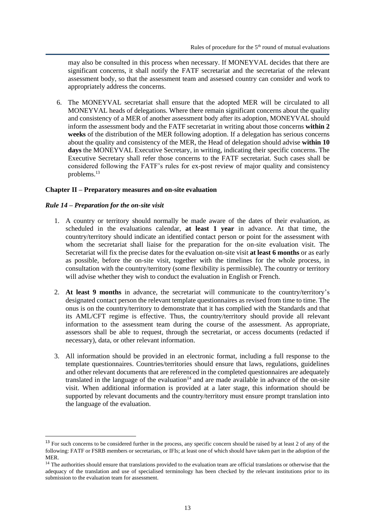may also be consulted in this process when necessary. If MONEYVAL decides that there are significant concerns, it shall notify the FATF secretariat and the secretariat of the relevant assessment body, so that the assessment team and assessed country can consider and work to appropriately address the concerns.

6. The MONEYVAL secretariat shall ensure that the adopted MER will be circulated to all MONEYVAL heads of delegations. Where there remain significant concerns about the quality and consistency of a MER of another assessment body after its adoption, MONEYVAL should inform the assessment body and the FATF secretariat in writing about those concerns **within 2 weeks** of the distribution of the MER following adoption. If a delegation has serious concerns about the quality and consistency of the MER, the Head of delegation should advise **within 10 days** the MONEYVAL Executive Secretary, in writing, indicating their specific concerns. The Executive Secretary shall refer those concerns to the FATF secretariat. Such cases shall be considered following the FATF's rules for ex-post review of major quality and consistency problems.<sup>13</sup>

## <span id="page-12-0"></span>**Chapter II – Preparatory measures and on-site evaluation**

## <span id="page-12-1"></span>*Rule 14 – Preparation for the on-site visit*

- 1. A country or territory should normally be made aware of the dates of their evaluation, as scheduled in the evaluations calendar, **at least 1 year** in advance. At that time, the country/territory should indicate an identified contact person or point for the assessment with whom the secretariat shall liaise for the preparation for the on-site evaluation visit. The Secretariat will fix the precise dates for the evaluation on-site visit **at least 6 months** or as early as possible, before the on-site visit, together with the timelines for the whole process, in consultation with the country/territory (some flexibility is permissible). The country or territory will advise whether they wish to conduct the evaluation in English or French.
- 2. **At least 9 months** in advance, the secretariat will communicate to the country/territory's designated contact person the relevant template questionnaires as revised from time to time. The onus is on the country/territory to demonstrate that it has complied with the Standards and that its AML/CFT regime is effective. Thus, the country/territory should provide all relevant information to the assessment team during the course of the assessment. As appropriate, assessors shall be able to request, through the secretariat, or access documents (redacted if necessary), data, or other relevant information.
- 3. All information should be provided in an electronic format, including a full response to the template questionnaires. Countries/territories should ensure that laws, regulations, guidelines and other relevant documents that are referenced in the completed questionnaires are adequately translated in the language of the evaluation $14$  and are made available in advance of the on-site visit. When additional information is provided at a later stage, this information should be supported by relevant documents and the country/territory must ensure prompt translation into the language of the evaluation.

<sup>&</sup>lt;sup>13</sup> For such concerns to be considered further in the process, any specific concern should be raised by at least 2 of any of the following: FATF or FSRB members or secretariats, or IFIs; at least one of which should have taken part in the adoption of the MER.

<sup>&</sup>lt;sup>14</sup> The authorities should ensure that translations provided to the evaluation team are official translations or otherwise that the adequacy of the translation and use of specialised terminology has been checked by the relevant institutions prior to its submission to the evaluation team for assessment.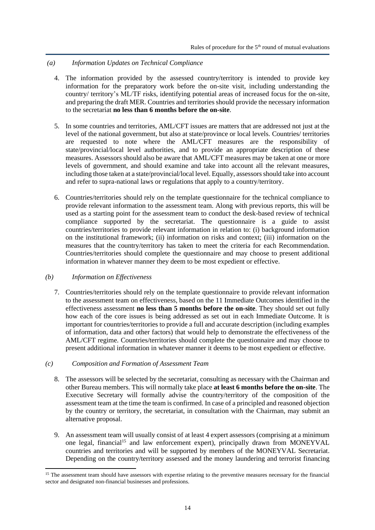#### *(a) Information Updates on Technical Compliance*

- 4. The information provided by the assessed country/territory is intended to provide key information for the preparatory work before the on-site visit, including understanding the country/ territory's ML/TF risks, identifying potential areas of increased focus for the on-site, and preparing the draft MER. Countries and territories should provide the necessary information to the secretariat **no less than 6 months before the on-site**.
- 5. In some countries and territories, AML/CFT issues are matters that are addressed not just at the level of the national government, but also at state/province or local levels. Countries/ territories are requested to note where the AML/CFT measures are the responsibility of state/provincial/local level authorities, and to provide an appropriate description of these measures. Assessors should also be aware that AML/CFT measures may be taken at one or more levels of government, and should examine and take into account all the relevant measures, including those taken at a state/provincial/local level. Equally, assessors should take into account and refer to supra-national laws or regulations that apply to a country/territory.
- 6. Countries/territories should rely on the template questionnaire for the technical compliance to provide relevant information to the assessment team. Along with previous reports, this will be used as a starting point for the assessment team to conduct the desk-based review of technical compliance supported by the secretariat. The questionnaire is a guide to assist countries/territories to provide relevant information in relation to: (i) background information on the institutional framework; (ii) information on risks and context; (iii) information on the measures that the country/territory has taken to meet the criteria for each Recommendation. Countries/territories should complete the questionnaire and may choose to present additional information in whatever manner they deem to be most expedient or effective.

#### *(b) Information on Effectiveness*

7. Countries/territories should rely on the template questionnaire to provide relevant information to the assessment team on effectiveness, based on the 11 Immediate Outcomes identified in the effectiveness assessment **no less than 5 months before the on-site**. They should set out fully how each of the core issues is being addressed as set out in each Immediate Outcome. It is important for countries/territories to provide a full and accurate description (including examples of information, data and other factors) that would help to demonstrate the effectiveness of the AML/CFT regime. Countries/territories should complete the questionnaire and may choose to present additional information in whatever manner it deems to be most expedient or effective.

#### *(c) Composition and Formation of Assessment Team*

- 8. The assessors will be selected by the secretariat, consulting as necessary with the Chairman and other Bureau members. This will normally take place **at least 6 months before the on-site**. The Executive Secretary will formally advise the country/territory of the composition of the assessment team at the time the team is confirmed. In case of a principled and reasoned objection by the country or territory, the secretariat, in consultation with the Chairman, may submit an alternative proposal.
- 9. An assessment team will usually consist of at least 4 expert assessors (comprising at a minimum one legal, financial<sup>15</sup> and law enforcement expert), principally drawn from MONEYVAL countries and territories and will be supported by members of the MONEYVAL Secretariat. Depending on the country/territory assessed and the money laundering and terrorist financing

<sup>&</sup>lt;sup>15</sup> The assessment team should have assessors with expertise relating to the preventive measures necessary for the financial sector and designated non-financial businesses and professions.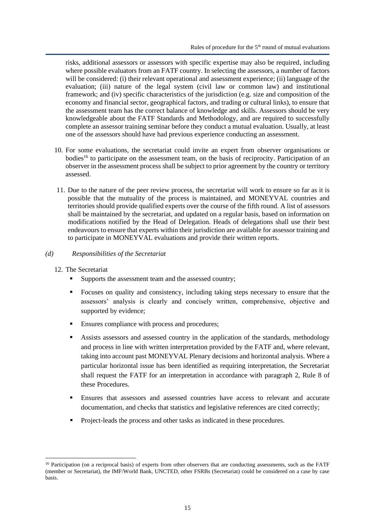risks, additional assessors or assessors with specific expertise may also be required, including where possible evaluators from an FATF country. In selecting the assessors, a number of factors will be considered: (i) their relevant operational and assessment experience; (ii) language of the evaluation; (iii) nature of the legal system (civil law or common law) and institutional framework; and (iv) specific characteristics of the jurisdiction (e.g*.* size and composition of the economy and financial sector, geographical factors, and trading or cultural links), to ensure that the assessment team has the correct balance of knowledge and skills. Assessors should be very knowledgeable about the FATF Standards and Methodology, and are required to successfully complete an assessor training seminar before they conduct a mutual evaluation. Usually, at least one of the assessors should have had previous experience conducting an assessment.

- 10. For some evaluations, the secretariat could invite an expert from observer organisations or bodies<sup>16</sup> to participate on the assessment team, on the basis of reciprocity. Participation of an observer in the assessment process shall be subject to prior agreement by the country or territory assessed.
- 11. Due to the nature of the peer review process, the secretariat will work to ensure so far as it is possible that the mutuality of the process is maintained, and MONEYVAL countries and territories should provide qualified experts over the course of the fifth round. A list of assessors shall be maintained by the secretariat, and updated on a regular basis, based on information on modifications notified by the Head of Delegation. Heads of delegations shall use their best endeavours to ensure that experts within their jurisdiction are available for assessor training and to participate in MONEYVAL evaluations and provide their written reports.

#### *(d) Responsibilities of the Secretariat*

- 12. The Secretariat
	- Supports the assessment team and the assessed country;
	- Focuses on quality and consistency, including taking steps necessary to ensure that the assessors' analysis is clearly and concisely written, comprehensive, objective and supported by evidence;
	- Ensures compliance with process and procedures;
	- Assists assessors and assessed country in the application of the standards, methodology and process in line with written interpretation provided by the FATF and, where relevant, taking into account past MONEYVAL Plenary decisions and horizontal analysis. Where a particular horizontal issue has been identified as requiring interpretation, the Secretariat shall request the FATF for an interpretation in accordance with paragraph 2, Rule 8 of these Procedures.
	- Ensures that assessors and assessed countries have access to relevant and accurate documentation, and checks that statistics and legislative references are cited correctly;
	- Project-leads the process and other tasks as indicated in these procedures.

<sup>&</sup>lt;sup>16</sup> Participation (on a reciprocal basis) of experts from other observers that are conducting assessments, such as the FATF (member or Secretariat), the IMF/World Bank, UNCTED, other FSRBs (Secretariat) could be considered on a case by case basis.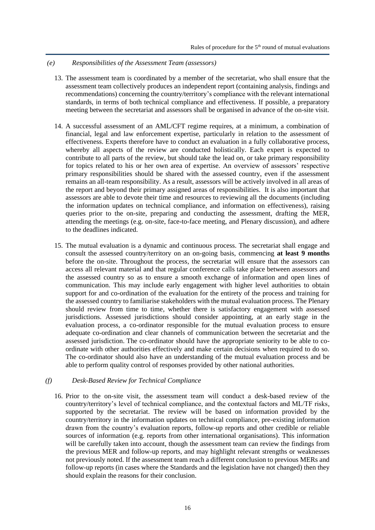#### *(e) Responsibilities of the Assessment Team (assessors)*

- 13. The assessment team is coordinated by a member of the secretariat, who shall ensure that the assessment team collectively produces an independent report (containing analysis, findings and recommendations) concerning the country/territory's compliance with the relevant international standards, in terms of both technical compliance and effectiveness. If possible, a preparatory meeting between the secretariat and assessors shall be organised in advance of the on-site visit.
- 14. A successful assessment of an AML/CFT regime requires, at a minimum, a combination of financial, legal and law enforcement expertise, particularly in relation to the assessment of effectiveness. Experts therefore have to conduct an evaluation in a fully collaborative process, whereby all aspects of the review are conducted holistically. Each expert is expected to contribute to all parts of the review, but should take the lead on, or take primary responsibility for topics related to his or her own area of expertise. An overview of assessors' respective primary responsibilities should be shared with the assessed country, even if the assessment remains an all-team responsibility. As a result, assessors will be actively involved in all areas of the report and beyond their primary assigned areas of responsibilities. It is also important that assessors are able to devote their time and resources to reviewing all the documents (including the information updates on technical compliance, and information on effectiveness), raising queries prior to the on-site, preparing and conducting the assessment, drafting the MER, attending the meetings (e.g. on-site, face-to-face meeting, and Plenary discussion), and adhere to the deadlines indicated.
- 15. The mutual evaluation is a dynamic and continuous process. The secretariat shall engage and consult the assessed country/territory on an on-going basis, commencing **at least 9 months** before the on-site. Throughout the process, the secretariat will ensure that the assessors can access all relevant material and that regular conference calls take place between assessors and the assessed country so as to ensure a smooth exchange of information and open lines of communication. This may include early engagement with higher level authorities to obtain support for and co-ordination of the evaluation for the entirety of the process and training for the assessed country to familiarise stakeholders with the mutual evaluation process. The Plenary should review from time to time, whether there is satisfactory engagement with assessed jurisdictions. Assessed jurisdictions should consider appointing, at an early stage in the evaluation process, a co-ordinator responsible for the mutual evaluation process to ensure adequate co-ordination and clear channels of communication between the secretariat and the assessed jurisdiction. The co-ordinator should have the appropriate seniority to be able to coordinate with other authorities effectively and make certain decisions when required to do so. The co-ordinator should also have an understanding of the mutual evaluation process and be able to perform quality control of responses provided by other national authorities.

#### *(f) Desk-Based Review for Technical Compliance*

16. Prior to the on-site visit, the assessment team will conduct a desk-based review of the country/territory's level of technical compliance, and the contextual factors and ML/TF risks, supported by the secretariat. The review will be based on information provided by the country/territory in the information updates on technical compliance, pre-existing information drawn from the country's evaluation reports, follow-up reports and other credible or reliable sources of information (e.g. reports from other international organisations). This information will be carefully taken into account, though the assessment team can review the findings from the previous MER and follow-up reports, and may highlight relevant strengths or weaknesses not previously noted. If the assessment team reach a different conclusion to previous MERs and follow-up reports (in cases where the Standards and the legislation have not changed) then they should explain the reasons for their conclusion.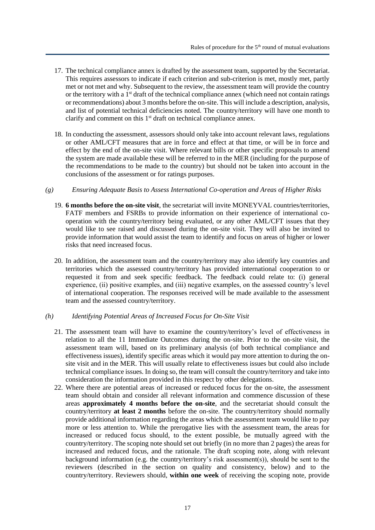- 17. The technical compliance annex is drafted by the assessment team, supported by the Secretariat. This requires assessors to indicate if each criterion and sub-criterion is met, mostly met, partly met or not met and why. Subsequent to the review, the assessment team will provide the country or the territory with a  $1<sup>st</sup>$  draft of the technical compliance annex (which need not contain ratings or recommendations) about 3 months before the on-site. This will include a description, analysis, and list of potential technical deficiencies noted. The country/territory will have one month to clarify and comment on this 1<sup>st</sup> draft on technical compliance annex.
- 18. In conducting the assessment, assessors should only take into account relevant laws, regulations or other AML/CFT measures that are in force and effect at that time, or will be in force and effect by the end of the on-site visit. Where relevant bills or other specific proposals to amend the system are made available these will be referred to in the MER (including for the purpose of the recommendations to be made to the country) but should not be taken into account in the conclusions of the assessment or for ratings purposes.

#### *(g) Ensuring Adequate Basis to Assess International Co-operation and Areas of Higher Risks*

- 19. **6 months before the on-site visit**, the secretariat will invite MONEYVAL countries/territories, FATF members and FSRBs to provide information on their experience of international cooperation with the country/territory being evaluated, or any other AML/CFT issues that they would like to see raised and discussed during the on-site visit. They will also be invited to provide information that would assist the team to identify and focus on areas of higher or lower risks that need increased focus.
- 20. In addition, the assessment team and the country/territory may also identify key countries and territories which the assessed country/territory has provided international cooperation to or requested it from and seek specific feedback. The feedback could relate to: (i) general experience, (ii) positive examples, and (iii) negative examples, on the assessed country's level of international cooperation. The responses received will be made available to the assessment team and the assessed country/territory.

#### *(h) Identifying Potential Areas of Increased Focus for On-Site Visit*

- 21. The assessment team will have to examine the country/territory's level of effectiveness in relation to all the 11 Immediate Outcomes during the on-site. Prior to the on-site visit, the assessment team will, based on its preliminary analysis (of both technical compliance and effectiveness issues), identify specific areas which it would pay more attention to during the onsite visit and in the MER. This will usually relate to effectiveness issues but could also include technical compliance issues. In doing so, the team will consult the country/territory and take into consideration the information provided in this respect by other delegations.
- 22. Where there are potential areas of increased or reduced focus for the on-site, the assessment team should obtain and consider all relevant information and commence discussion of these areas **approximately 4 months before the on-site**, and the secretariat should consult the country/territory **at least 2 months** before the on-site. The country/territory should normally provide additional information regarding the areas which the assessment team would like to pay more or less attention to. While the prerogative lies with the assessment team, the areas for increased or reduced focus should, to the extent possible, be mutually agreed with the country/territory. The scoping note should set out briefly (in no more than 2 pages) the areas for increased and reduced focus, and the rationale. The draft scoping note, along with relevant background information (e.g. the country/territory's risk assessment(s)), should be sent to the reviewers (described in the section on quality and consistency, below) and to the country/territory. Reviewers should, **within one week** of receiving the scoping note, provide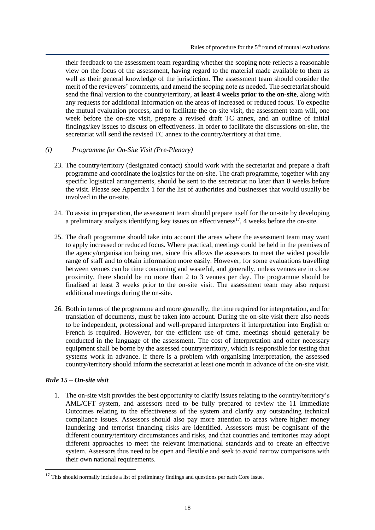their feedback to the assessment team regarding whether the scoping note reflects a reasonable view on the focus of the assessment, having regard to the material made available to them as well as their general knowledge of the jurisdiction. The assessment team should consider the merit of the reviewers' comments, and amend the scoping note as needed. The secretariat should send the final version to the country/territory, **at least 4 weeks prior to the on-site**, along with any requests for additional information on the areas of increased or reduced focus. To expedite the mutual evaluation process, and to facilitate the on-site visit, the assessment team will, one week before the on-site visit, prepare a revised draft TC annex, and an outline of initial findings/key issues to discuss on effectiveness. In order to facilitate the discussions on-site, the secretariat will send the revised TC annex to the country/territory at that time.

#### *(i) Programme for On-Site Visit (Pre-Plenary)*

- 23. The country/territory (designated contact) should work with the secretariat and prepare a draft programme and coordinate the logistics for the on-site. The draft programme, together with any specific logistical arrangements, should be sent to the secretariat no later than 8 weeks before the visit. Please see Appendix 1 for the list of authorities and businesses that would usually be involved in the on-site.
- 24. To assist in preparation, the assessment team should prepare itself for the on-site by developing a preliminary analysis identifying key issues on effectiveness<sup>17</sup>, 4 weeks before the on-site.
- 25. The draft programme should take into account the areas where the assessment team may want to apply increased or reduced focus. Where practical, meetings could be held in the premises of the agency/organisation being met, since this allows the assessors to meet the widest possible range of staff and to obtain information more easily. However, for some evaluations travelling between venues can be time consuming and wasteful, and generally, unless venues are in close proximity, there should be no more than 2 to 3 venues per day. The programme should be finalised at least 3 weeks prior to the on-site visit. The assessment team may also request additional meetings during the on-site.
- 26. Both in terms of the programme and more generally, the time required for interpretation, and for translation of documents, must be taken into account. During the on-site visit there also needs to be independent, professional and well-prepared interpreters if interpretation into English or French is required. However, for the efficient use of time, meetings should generally be conducted in the language of the assessment. The cost of interpretation and other necessary equipment shall be borne by the assessed country/territory, which is responsible for testing that systems work in advance. If there is a problem with organising interpretation, the assessed country/territory should inform the secretariat at least one month in advance of the on-site visit.

#### <span id="page-17-0"></span>*Rule 15 – On-site visit*

1. The on-site visit provides the best opportunity to clarify issues relating to the country/territory's AML/CFT system, and assessors need to be fully prepared to review the 11 Immediate Outcomes relating to the effectiveness of the system and clarify any outstanding technical compliance issues. Assessors should also pay more attention to areas where higher money laundering and terrorist financing risks are identified. Assessors must be cognisant of the different country/territory circumstances and risks, and that countries and territories may adopt different approaches to meet the relevant international standards and to create an effective system. Assessors thus need to be open and flexible and seek to avoid narrow comparisons with their own national requirements.

<sup>&</sup>lt;sup>17</sup> This should normally include a list of preliminary findings and questions per each Core Issue.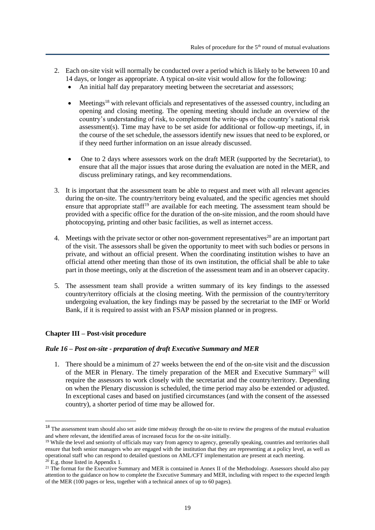- 2. Each on-site visit will normally be conducted over a period which is likely to be between 10 and 14 days, or longer as appropriate. A typical on-site visit would allow for the following:
	- An initial half day preparatory meeting between the secretariat and assessors;
	- Meetings<sup>18</sup> with relevant officials and representatives of the assessed country, including an opening and closing meeting. The opening meeting should include an overview of the country's understanding of risk, to complement the write-ups of the country's national risk assessment(s). Time may have to be set aside for additional or follow-up meetings, if, in the course of the set schedule, the assessors identify new issues that need to be explored, or if they need further information on an issue already discussed.
	- One to 2 days where assessors work on the draft MER (supported by the Secretariat), to ensure that all the major issues that arose during the evaluation are noted in the MER, and discuss preliminary ratings, and key recommendations.
- 3. It is important that the assessment team be able to request and meet with all relevant agencies during the on-site. The country/territory being evaluated, and the specific agencies met should ensure that appropriate staff<sup>19</sup> are available for each meeting. The assessment team should be provided with a specific office for the duration of the on-site mission, and the room should have photocopying, printing and other basic facilities, as well as internet access.
- 4. Meetings with the private sector or other non-government representatives<sup>20</sup> are an important part of the visit. The assessors shall be given the opportunity to meet with such bodies or persons in private, and without an official present. When the coordinating institution wishes to have an official attend other meeting than those of its own institution, the official shall be able to take part in those meetings, only at the discretion of the assessment team and in an observer capacity.
- 5. The assessment team shall provide a written summary of its key findings to the assessed country/territory officials at the closing meeting. With the permission of the country/territory undergoing evaluation, the key findings may be passed by the secretariat to the IMF or World Bank, if it is required to assist with an FSAP mission planned or in progress.

## <span id="page-18-0"></span>**Chapter III – Post-visit procedure**

## <span id="page-18-1"></span>*Rule 16 – Post on-site - preparation of draft Executive Summary and MER*

1. There should be a minimum of 27 weeks between the end of the on-site visit and the discussion of the MER in Plenary. The timely preparation of the MER and Executive Summary<sup>21</sup> will require the assessors to work closely with the secretariat and the country/territory. Depending on when the Plenary discussion is scheduled, the time period may also be extended or adjusted. In exceptional cases and based on justified circumstances (and with the consent of the assessed country), a shorter period of time may be allowed for.

<sup>&</sup>lt;sup>18</sup> The assessment team should also set aside time midway through the on-site to review the progress of the mutual evaluation and where relevant, the identified areas of increased focus for the on-site initially.

<sup>&</sup>lt;sup>19</sup> While the level and seniority of officials may vary from agency to agency, generally speaking, countries and territories shall ensure that both senior managers who are engaged with the institution that they are representing at a policy level, as well as operational staff who can respond to detailed questions on AML/CFT implementation are present at each meeting.  $^{20}$  E.g. those listed in Appendix 1.

 $21$  The format for the Executive Summary and MER is contained in Annex II of the Methodology. Assessors should also pay attention to the guidance on how to complete the Executive Summary and MER, including with respect to the expected length of the MER (100 pages or less, together with a technical annex of up to 60 pages).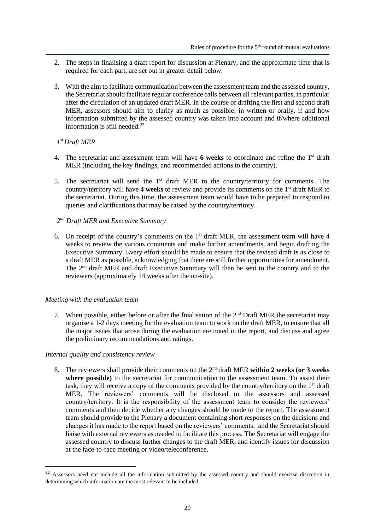- 2. The steps in finalising a draft report for discussion at Plenary, and the approximate time that is required for each part, are set out in greater detail below.
- 3. With the aim to facilitate communication between the assessment team and the assessed country, the Secretariat should facilitate regular conference calls between all relevant parties, in particular after the circulation of an updated draft MER. In the course of drafting the first and second draft MER, assessors should aim to clarify as much as possible, in written or orally, if and how information submitted by the assessed country was taken into account and if/where additional information is still needed.<sup>22</sup>

## *1 st Draft MER*

- 4. The secretariat and assessment team will have **6 weeks** to coordinate and refine the 1st draft MER (including the key findings, and recommended actions to the country).
- 5. The secretariat will send the  $1<sup>st</sup>$  draft MER to the country/territory for comments. The country/territory will have 4 weeks to review and provide its comments on the 1<sup>st</sup> draft MER to the secretariat. During this time, the assessment team would have to be prepared to respond to queries and clarifications that may be raised by the country/territory.
- *2 nd Draft MER and Executive Summary*
- 6. On receipt of the country's comments on the  $1<sup>st</sup>$  draft MER, the assessment team will have 4 weeks to review the various comments and make further amendments, and begin drafting the Executive Summary. Every effort should be made to ensure that the revised draft is as close to a draft MER as possible, acknowledging that there are still further opportunities for amendment. The  $2<sup>nd</sup>$  draft MER and draft Executive Summary will then be sent to the country and to the reviewers (approximately 14 weeks after the on-site).

## *Meeting with the evaluation team*

7. When possible, either before or after the finalisation of the  $2<sup>nd</sup>$  Draft MER the secretariat may organise a 1-2 days meeting for the evaluation team to work on the draft MER, to ensure that all the major issues that arose during the evaluation are noted in the report, and discuss and agree the preliminary recommendations and ratings.

#### *Internal quality and consistency review*

8. The reviewers shall provide their comments on the 2 nd draft MER **within 2 weeks (or 3 weeks where possible)** to the secretariat for communication to the assessment team. To assist their task, they will receive a copy of the comments provided by the country/territory on the 1st draft MER. The reviewers' comments will be disclosed to the assessors and assessed country/territory. It is the responsibility of the assessment team to consider the reviewers' comments and then decide whether any changes should be made to the report. The assessment team should provide to the Plenary a document containing short responses on the decisions and changes it has made to the report based on the reviewers' comments, and the Secretariat should liaise with external reviewers as needed to facilitate this process. The Secretariat will engage the assessed country to discuss further changes to the draft MER, and identify issues for discussion at the face-to-face meeting or video/teleconference.

<sup>&</sup>lt;sup>22</sup> Assessors need not include all the information submitted by the assessed country and should exercise discretion in determining which information are the most relevant to be included.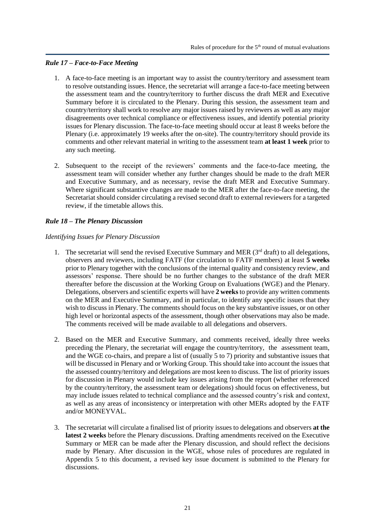## <span id="page-20-0"></span>*Rule 17 – Face-to-Face Meeting*

- 1. A face-to-face meeting is an important way to assist the country/territory and assessment team to resolve outstanding issues. Hence, the secretariat will arrange a face-to-face meeting between the assessment team and the country/territory to further discuss the draft MER and Executive Summary before it is circulated to the Plenary. During this session, the assessment team and country/territory shall work to resolve any major issues raised by reviewers as well as any major disagreements over technical compliance or effectiveness issues, and identify potential priority issues for Plenary discussion. The face-to-face meeting should occur at least 8 weeks before the Plenary (i.e. approximately 19 weeks after the on-site). The country/territory should provide its comments and other relevant material in writing to the assessment team **at least 1 week** prior to any such meeting.
- 2. Subsequent to the receipt of the reviewers' comments and the face-to-face meeting, the assessment team will consider whether any further changes should be made to the draft MER and Executive Summary, and as necessary, revise the draft MER and Executive Summary. Where significant substantive changes are made to the MER after the face-to-face meeting, the Secretariat should consider circulating a revised second draft to external reviewers for a targeted review, if the timetable allows this.

## <span id="page-20-1"></span>*Rule 18 – The Plenary Discussion*

## *Identifying Issues for Plenary Discussion*

- 1. The secretariat will send the revised Executive Summary and MER  $(3<sup>rd</sup> draft)$  to all delegations, observers and reviewers, including FATF (for circulation to FATF members) at least **5 weeks**  prior to Plenary together with the conclusions of the internal quality and consistency review, and assessors' response. There should be no further changes to the substance of the draft MER thereafter before the discussion at the Working Group on Evaluations (WGE) and the Plenary. Delegations, observers and scientific experts will have **2 weeks**to provide any written comments on the MER and Executive Summary, and in particular, to identify any specific issues that they wish to discuss in Plenary. The comments should focus on the key substantive issues, or on other high level or horizontal aspects of the assessment, though other observations may also be made. The comments received will be made available to all delegations and observers.
- 2. Based on the MER and Executive Summary, and comments received, ideally three weeks preceding the Plenary, the secretariat will engage the country/territory, the assessment team, and the WGE co-chairs, and prepare a list of (usually 5 to 7) priority and substantive issues that will be discussed in Plenary and or Working Group. This should take into account the issues that the assessed country/territory and delegations are most keen to discuss. The list of priority issues for discussion in Plenary would include key issues arising from the report (whether referenced by the country/territory, the assessment team or delegations) should focus on effectiveness, but may include issues related to technical compliance and the assessed country's risk and context, as well as any areas of inconsistency or interpretation with other MERs adopted by the FATF and/or MONEYVAL.
- 3. The secretariat will circulate a finalised list of priority issues to delegations and observers **at the latest 2 weeks** before the Plenary discussions. Drafting amendments received on the Executive Summary or MER can be made after the Plenary discussion, and should reflect the decisions made by Plenary. After discussion in the WGE, whose rules of procedures are regulated in Appendix 5 to this document, a revised key issue document is submitted to the Plenary for discussions.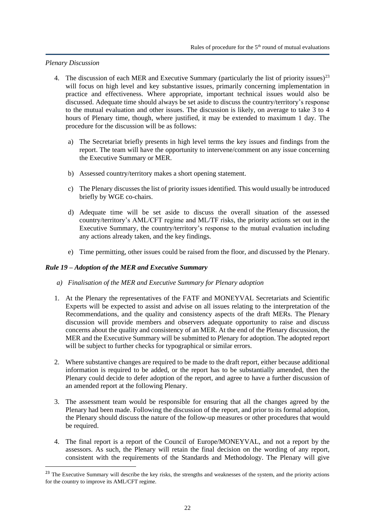#### *Plenary Discussion*

- 4. The discussion of each MER and Executive Summary (particularly the list of priority issues)<sup>23</sup> will focus on high level and key substantive issues, primarily concerning implementation in practice and effectiveness. Where appropriate, important technical issues would also be discussed. Adequate time should always be set aside to discuss the country/territory's response to the mutual evaluation and other issues. The discussion is likely, on average to take 3 to 4 hours of Plenary time, though, where justified, it may be extended to maximum 1 day. The procedure for the discussion will be as follows:
	- a) The Secretariat briefly presents in high level terms the key issues and findings from the report. The team will have the opportunity to intervene/comment on any issue concerning the Executive Summary or MER.
	- b) Assessed country/territory makes a short opening statement.
	- c) The Plenary discusses the list of priority issues identified. This would usually be introduced briefly by WGE co-chairs.
	- d) Adequate time will be set aside to discuss the overall situation of the assessed country/territory's AML/CFT regime and ML/TF risks, the priority actions set out in the Executive Summary, the country/territory's response to the mutual evaluation including any actions already taken, and the key findings.
	- e) Time permitting, other issues could be raised from the floor, and discussed by the Plenary.

## <span id="page-21-0"></span>*Rule 19 – Adoption of the MER and Executive Summary*

- *a) Finalisation of the MER and Executive Summary for Plenary adoption*
- 1. At the Plenary the representatives of the FATF and MONEYVAL Secretariats and Scientific Experts will be expected to assist and advise on all issues relating to the interpretation of the Recommendations, and the quality and consistency aspects of the draft MERs. The Plenary discussion will provide members and observers adequate opportunity to raise and discuss concerns about the quality and consistency of an MER. At the end of the Plenary discussion, the MER and the Executive Summary will be submitted to Plenary for adoption. The adopted report will be subject to further checks for typographical or similar errors.
- 2. Where substantive changes are required to be made to the draft report, either because additional information is required to be added, or the report has to be substantially amended, then the Plenary could decide to defer adoption of the report, and agree to have a further discussion of an amended report at the following Plenary.
- 3. The assessment team would be responsible for ensuring that all the changes agreed by the Plenary had been made. Following the discussion of the report, and prior to its formal adoption, the Plenary should discuss the nature of the follow-up measures or other procedures that would be required.
- 4. The final report is a report of the Council of Europe/MONEYVAL, and not a report by the assessors. As such, the Plenary will retain the final decision on the wording of any report, consistent with the requirements of the Standards and Methodology. The Plenary will give

<sup>&</sup>lt;sup>23</sup> The Executive Summary will describe the key risks, the strengths and weaknesses of the system, and the priority actions for the country to improve its AML/CFT regime.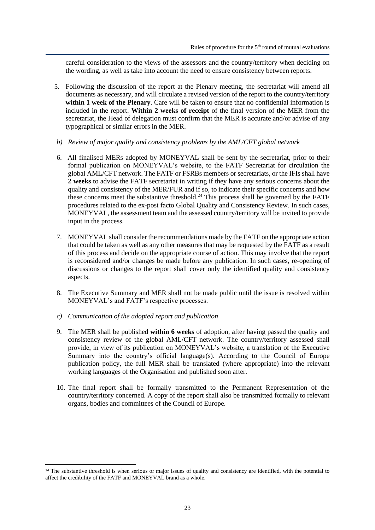careful consideration to the views of the assessors and the country/territory when deciding on the wording, as well as take into account the need to ensure consistency between reports.

- 5. Following the discussion of the report at the Plenary meeting, the secretariat will amend all documents as necessary, and will circulate a revised version of the report to the country/territory **within 1 week of the Plenary**. Care will be taken to ensure that no confidential information is included in the report. **Within 2 weeks of receipt** of the final version of the MER from the secretariat, the Head of delegation must confirm that the MER is accurate and/or advise of any typographical or similar errors in the MER.
- *b) Review of major quality and consistency problems by the AML/CFT global network*
- 6. All finalised MERs adopted by MONEYVAL shall be sent by the secretariat, prior to their formal publication on MONEYVAL's website, to the FATF Secretariat for circulation the global AML/CFT network. The FATF or FSRBs members or secretariats, or the IFIs shall have **2 weeks** to advise the FATF secretariat in writing if they have any serious concerns about the quality and consistency of the MER/FUR and if so, to indicate their specific concerns and how these concerns meet the substantive threshold.<sup>24</sup> This process shall be governed by the FATF procedures related to the ex-post facto Global Quality and Consistency Review. In such cases, MONEYVAL, the assessment team and the assessed country/territory will be invited to provide input in the process.
- 7. MONEYVAL shall consider the recommendations made by the FATF on the appropriate action that could be taken as well as any other measures that may be requested by the FATF as a result of this process and decide on the appropriate course of action. This may involve that the report is reconsidered and/or changes be made before any publication. In such cases, re-opening of discussions or changes to the report shall cover only the identified quality and consistency aspects.
- 8. The Executive Summary and MER shall not be made public until the issue is resolved within MONEYVAL's and FATF's respective processes.
- *c) Communication of the adopted report and publication*
- 9. The MER shall be published **within 6 weeks** of adoption, after having passed the quality and consistency review of the global AML/CFT network. The country/territory assessed shall provide, in view of its publication on MONEYVAL's website, a translation of the Executive Summary into the country's official language(s). According to the Council of Europe publication policy, the full MER shall be translated (where appropriate) into the relevant working languages of the Organisation and published soon after.
- 10. The final report shall be formally transmitted to the Permanent Representation of the country/territory concerned. A copy of the report shall also be transmitted formally to relevant organs, bodies and committees of the Council of Europe.

<sup>&</sup>lt;sup>24</sup> The substantive threshold is when serious or major issues of quality and consistency are identified, with the potential to affect the credibility of the FATF and MONEYVAL brand as a whole.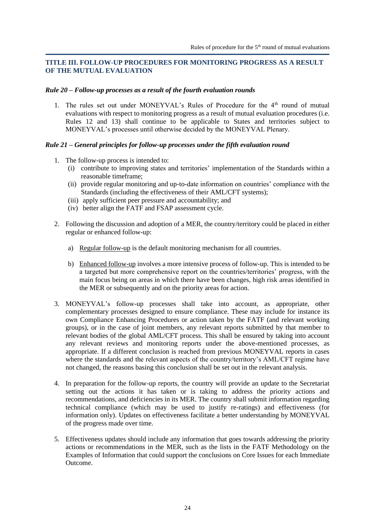## <span id="page-23-0"></span>**TITLE III. FOLLOW-UP PROCEDURES FOR MONITORING PROGRESS AS A RESULT OF THE MUTUAL EVALUATION**

#### <span id="page-23-1"></span>*Rule 20 – Follow-up processes as a result of the fourth evaluation rounds*

1. The rules set out under MONEYVAL's Rules of Procedure for the 4<sup>th</sup> round of mutual evaluations with respect to monitoring progress as a result of mutual evaluation procedures (i.e. Rules 12 and 13) shall continue to be applicable to States and territories subject to MONEYVAL's processes until otherwise decided by the MONEYVAL Plenary.

## <span id="page-23-2"></span>*Rule 21 – General principles for follow-up processes under the fifth evaluation round*

- 1. The follow-up process is intended to:
	- (i) contribute to improving states and territories' implementation of the Standards within a reasonable timeframe;
	- (ii) provide regular monitoring and up-to-date information on countries' compliance with the Standards (including the effectiveness of their AML/CFT systems);
	- (iii) apply sufficient peer pressure and accountability; and
	- (iv) better align the FATF and FSAP assessment cycle.
- 2. Following the discussion and adoption of a MER, the country/territory could be placed in either regular or enhanced follow-up:
	- a) Regular follow-up is the default monitoring mechanism for all countries.
	- b) Enhanced follow-up involves a more intensive process of follow-up. This is intended to be a targeted but more comprehensive report on the countries/territories' progress, with the main focus being on areas in which there have been changes, high risk areas identified in the MER or subsequently and on the priority areas for action.
- 3. MONEYVAL's follow-up processes shall take into account, as appropriate, other complementary processes designed to ensure compliance. These may include for instance its own Compliance Enhancing Procedures or action taken by the FATF (and relevant working groups), or in the case of joint members, any relevant reports submitted by that member to relevant bodies of the global AML/CFT process. This shall be ensured by taking into account any relevant reviews and monitoring reports under the above-mentioned processes, as appropriate. If a different conclusion is reached from previous MONEYVAL reports in cases where the standards and the relevant aspects of the country/territory's AML/CFT regime have not changed, the reasons basing this conclusion shall be set out in the relevant analysis.
- 4. In preparation for the follow-up reports, the country will provide an update to the Secretariat setting out the actions it has taken or is taking to address the priority actions and recommendations, and deficiencies in its MER. The country shall submit information regarding technical compliance (which may be used to justify re-ratings) and effectiveness (for information only). Updates on effectiveness facilitate a better understanding by MONEYVAL of the progress made over time.
- 5. Effectiveness updates should include any information that goes towards addressing the priority actions or recommendations in the MER, such as the lists in the FATF Methodology on the Examples of Information that could support the conclusions on Core Issues for each Immediate Outcome.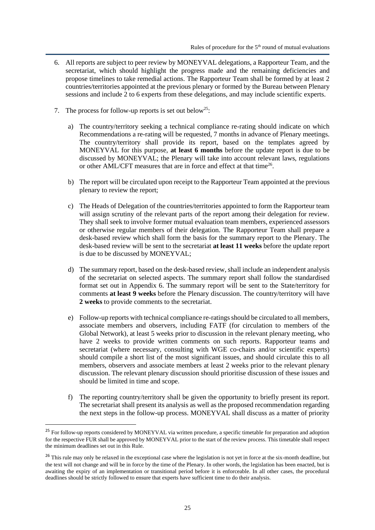- 6. All reports are subject to peer review by MONEYVAL delegations, a Rapporteur Team, and the secretariat, which should highlight the progress made and the remaining deficiencies and propose timelines to take remedial actions. The Rapporteur Team shall be formed by at least 2 countries/territories appointed at the previous plenary or formed by the Bureau between Plenary sessions and include 2 to 6 experts from these delegations, and may include scientific experts.
- 7. The process for follow-up reports is set out below<sup>25</sup>:
	- a) The country/territory seeking a technical compliance re-rating should indicate on which Recommendations a re-rating will be requested, 7 months in advance of Plenary meetings. The country/territory shall provide its report, based on the templates agreed by MONEYVAL for this purpose, **at least 6 months** before the update report is due to be discussed by MONEYVAL; the Plenary will take into account relevant laws, regulations or other AML/CFT measures that are in force and effect at that time<sup>26</sup>.
	- b) The report will be circulated upon receipt to the Rapporteur Team appointed at the previous plenary to review the report;
	- c) The Heads of Delegation of the countries/territories appointed to form the Rapporteur team will assign scrutiny of the relevant parts of the report among their delegation for review. They shall seek to involve former mutual evaluation team members, experienced assessors or otherwise regular members of their delegation. The Rapporteur Team shall prepare a desk-based review which shall form the basis for the summary report to the Plenary. The desk-based review will be sent to the secretariat **at least 11 weeks** before the update report is due to be discussed by MONEYVAL;
	- d) The summary report, based on the desk-based review, shall include an independent analysis of the secretariat on selected aspects. The summary report shall follow the standardised format set out in Appendix 6. The summary report will be sent to the State/territory for comments **at least 9 weeks** before the Plenary discussion. The country/territory will have **2 weeks** to provide comments to the secretariat.
	- e) Follow-up reports with technical compliance re-ratings should be circulated to all members, associate members and observers, including FATF (for circulation to members of the Global Network), at least 5 weeks prior to discussion in the relevant plenary meeting, who have 2 weeks to provide written comments on such reports. Rapporteur teams and secretariat (where necessary, consulting with WGE co-chairs and/or scientific experts) should compile a short list of the most significant issues, and should circulate this to all members, observers and associate members at least 2 weeks prior to the relevant plenary discussion. The relevant plenary discussion should prioritise discussion of these issues and should be limited in time and scope.
	- f) The reporting country/territory shall be given the opportunity to briefly present its report. The secretariat shall present its analysis as well as the proposed recommendation regarding the next steps in the follow-up process. MONEYVAL shall discuss as a matter of priority

<sup>&</sup>lt;sup>25</sup> For follow-up reports considered by MONEYVAL via written procedure, a specific timetable for preparation and adoption for the respective FUR shall be approved by MONEYVAL prior to the start of the review process. This timetable shall respect the minimum deadlines set out in this Rule.

<sup>&</sup>lt;sup>26</sup> This rule may only be relaxed in the exceptional case where the legislation is not yet in force at the six-month deadline, but the text will not change and will be in force by the time of the Plenary. In other words, the legislation has been enacted, but is awaiting the expiry of an implementation or transitional period before it is enforceable. In all other cases, the procedural deadlines should be strictly followed to ensure that experts have sufficient time to do their analysis.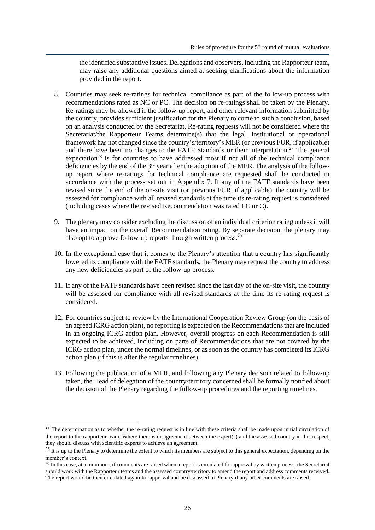the identified substantive issues. Delegations and observers, including the Rapporteur team, may raise any additional questions aimed at seeking clarifications about the information provided in the report.

- 8. Countries may seek re-ratings for technical compliance as part of the follow-up process with recommendations rated as NC or PC. The decision on re-ratings shall be taken by the Plenary. Re-ratings may be allowed if the follow-up report, and other relevant information submitted by the country, provides sufficient justification for the Plenary to come to such a conclusion, based on an analysis conducted by the Secretariat. Re-rating requests will not be considered where the Secretariat/the Rapporteur Teams determine(s) that the legal, institutional or operational framework has not changed since the country's/territory's MER (or previous FUR, if applicable) and there have been no changes to the FATF Standards or their interpretation.<sup>27</sup> The general expectation<sup>28</sup> is for countries to have addressed most if not all of the technical compliance deficiencies by the end of the  $3<sup>rd</sup>$  year after the adoption of the MER. The analysis of the followup report where re-ratings for technical compliance are requested shall be conducted in accordance with the process set out in Appendix 7. If any of the FATF standards have been revised since the end of the on-site visit (or previous FUR, if applicable), the country will be assessed for compliance with all revised standards at the time its re-rating request is considered (including cases where the revised Recommendation was rated LC or C).
- 9. The plenary may consider excluding the discussion of an individual criterion rating unless it will have an impact on the overall Recommendation rating. By separate decision, the plenary may also opt to approve follow-up reports through written process. $29$
- 10. In the exceptional case that it comes to the Plenary's attention that a country has significantly lowered its compliance with the FATF standards, the Plenary may request the country to address any new deficiencies as part of the follow-up process.
- 11. If any of the FATF standards have been revised since the last day of the on-site visit, the country will be assessed for compliance with all revised standards at the time its re-rating request is considered.
- 12. For countries subject to review by the International Cooperation Review Group (on the basis of an agreed ICRG action plan), no reporting is expected on the Recommendations that are included in an ongoing ICRG action plan. However, overall progress on each Recommendation is still expected to be achieved, including on parts of Recommendations that are not covered by the ICRG action plan, under the normal timelines, or as soon as the country has completed its ICRG action plan (if this is after the regular timelines).
- 13. Following the publication of a MER, and following any Plenary decision related to follow-up taken, the Head of delegation of the country/territory concerned shall be formally notified about the decision of the Plenary regarding the follow-up procedures and the reporting timelines.

 $27$  The determination as to whether the re-rating request is in line with these criteria shall be made upon initial circulation of the report to the rapporteur team. Where there is disagreement between the expert(s) and the assessed country in this respect, they should discuss with scientific experts to achieve an agreement.

<sup>&</sup>lt;sup>28</sup> It is up to the Plenary to determine the extent to which its members are subject to this general expectation, depending on the member's context.

<sup>&</sup>lt;sup>29</sup> In this case, at a minimum, if comments are raised when a report is circulated for approval by written process, the Secretariat should work with the Rapporteur teams and the assessed country/territory to amend the report and address comments received. The report would be then circulated again for approval and be discussed in Plenary if any other comments are raised.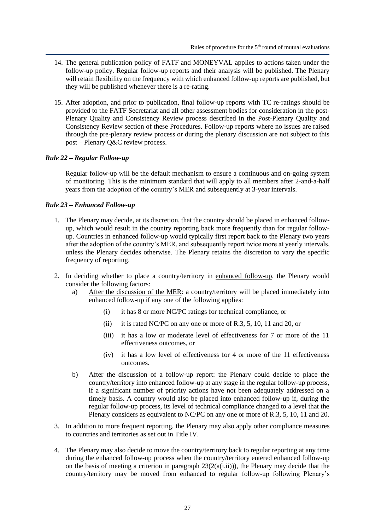- 14. The general publication policy of FATF and MONEYVAL applies to actions taken under the follow-up policy. Regular follow-up reports and their analysis will be published. The Plenary will retain flexibility on the frequency with which enhanced follow-up reports are published, but they will be published whenever there is a re-rating.
- 15. After adoption, and prior to publication, final follow-up reports with TC re-ratings should be provided to the FATF Secretariat and all other assessment bodies for consideration in the post-Plenary Quality and Consistency Review process described in the Post-Plenary Quality and Consistency Review section of these Procedures. Follow-up reports where no issues are raised through the pre-plenary review process or during the plenary discussion are not subject to this post – Plenary Q&C review process.

## <span id="page-26-0"></span>*Rule 22 – Regular Follow-up*

Regular follow-up will be the default mechanism to ensure a continuous and on-going system of monitoring. This is the minimum standard that will apply to all members after 2-and-a-half years from the adoption of the country's MER and subsequently at 3-year intervals.

#### <span id="page-26-1"></span>*Rule 23 – Enhanced Follow-up*

- 1. The Plenary may decide, at its discretion, that the country should be placed in enhanced followup, which would result in the country reporting back more frequently than for regular followup. Countries in enhanced follow-up would typically first report back to the Plenary two years after the adoption of the country's MER, and subsequently report twice more at yearly intervals, unless the Plenary decides otherwise. The Plenary retains the discretion to vary the specific frequency of reporting.
- 2. In deciding whether to place a country/territory in enhanced follow-up, the Plenary would consider the following factors:
	- a) After the discussion of the MER: a country/territory will be placed immediately into enhanced follow-up if any one of the following applies:
		- (i) it has 8 or more NC/PC ratings for technical compliance, or
		- (ii) it is rated NC/PC on any one or more of R.3, 5, 10, 11 and 20, or
		- (iii) it has a low or moderate level of effectiveness for 7 or more of the 11 effectiveness outcomes, or
		- (iv) it has a low level of effectiveness for 4 or more of the 11 effectiveness outcomes.
	- b) After the discussion of a follow-up report: the Plenary could decide to place the country/territory into enhanced follow-up at any stage in the regular follow-up process, if a significant number of priority actions have not been adequately addressed on a timely basis. A country would also be placed into enhanced follow-up if, during the regular follow-up process, its level of technical compliance changed to a level that the Plenary considers as equivalent to NC/PC on any one or more of R.3, 5, 10, 11 and 20.
- 3. In addition to more frequent reporting, the Plenary may also apply other compliance measures to countries and territories as set out in Title IV.
- 4. The Plenary may also decide to move the country/territory back to regular reporting at any time during the enhanced follow-up process when the country/territory entered enhanced follow-up on the basis of meeting a criterion in paragraph  $23(2(a(i,ii)))$ , the Plenary may decide that the country/territory may be moved from enhanced to regular follow-up following Plenary's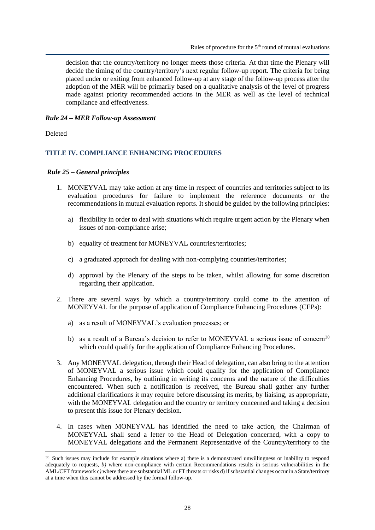decision that the country/territory no longer meets those criteria. At that time the Plenary will decide the timing of the country/territory's next regular follow-up report. The criteria for being placed under or exiting from enhanced follow-up at any stage of the follow-up process after the adoption of the MER will be primarily based on a qualitative analysis of the level of progress made against priority recommended actions in the MER as well as the level of technical compliance and effectiveness.

#### <span id="page-27-0"></span>*Rule 24 – MER Follow-up Assessment*

Deleted

#### <span id="page-27-1"></span>**TITLE IV. COMPLIANCE ENHANCING PROCEDURES**

#### <span id="page-27-2"></span>*Rule 25 – General principles*

- 1. MONEYVAL may take action at any time in respect of countries and territories subject to its evaluation procedures for failure to implement the reference documents or the recommendations in mutual evaluation reports. It should be guided by the following principles:
	- a) flexibility in order to deal with situations which require urgent action by the Plenary when issues of non-compliance arise;
	- b) equality of treatment for MONEYVAL countries/territories;
	- c) a graduated approach for dealing with non-complying countries/territories;
	- d) approval by the Plenary of the steps to be taken, whilst allowing for some discretion regarding their application.
- 2. There are several ways by which a country/territory could come to the attention of MONEYVAL for the purpose of application of Compliance Enhancing Procedures (CEPs):
	- a) as a result of MONEYVAL's evaluation processes; or
	- b) as a result of a Bureau's decision to refer to MONEYVAL a serious issue of concern<sup>30</sup> which could qualify for the application of Compliance Enhancing Procedures.
- 3. Any MONEYVAL delegation, through their Head of delegation, can also bring to the attention of MONEYVAL a serious issue which could qualify for the application of Compliance Enhancing Procedures, by outlining in writing its concerns and the nature of the difficulties encountered. When such a notification is received, the Bureau shall gather any further additional clarifications it may require before discussing its merits, by liaising, as appropriate, with the MONEYVAL delegation and the country or territory concerned and taking a decision to present this issue for Plenary decision.
- 4. In cases when MONEYVAL has identified the need to take action, the Chairman of MONEYVAL shall send a letter to the Head of Delegation concerned, with a copy to MONEYVAL delegations and the Permanent Representative of the Country/territory to the

<sup>&</sup>lt;sup>30</sup> Such issues may include for example situations where a) there is a demonstrated unwillingness or inability to respond adequately to requests, *b)* where non-compliance with certain Recommendations results in serious vulnerabilities in the AML/CFT framework c*)* where there are substantial ML or FT threats or risks d) if substantial changes occur in a State/territory at a time when this cannot be addressed by the formal follow-up.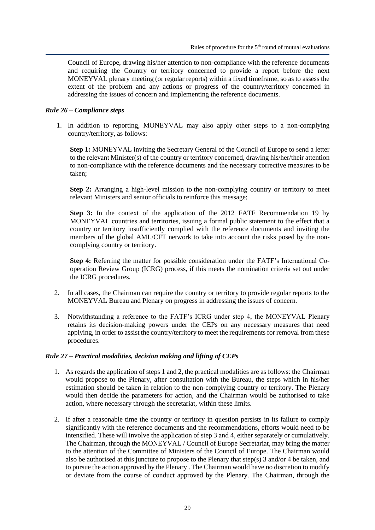Council of Europe, drawing his/her attention to non-compliance with the reference documents and requiring the Country or territory concerned to provide a report before the next MONEYVAL plenary meeting (or regular reports) within a fixed timeframe, so as to assess the extent of the problem and any actions or progress of the country/territory concerned in addressing the issues of concern and implementing the reference documents.

## <span id="page-28-0"></span>*Rule 26 – Compliance steps*

1. In addition to reporting, MONEYVAL may also apply other steps to a non-complying country/territory, as follows:

**Step 1:** MONEYVAL inviting the Secretary General of the Council of Europe to send a letter to the relevant Minister(s) of the country or territory concerned, drawing his/her/their attention to non-compliance with the reference documents and the necessary corrective measures to be taken;

**Step 2:** Arranging a high-level mission to the non-complying country or territory to meet relevant Ministers and senior officials to reinforce this message;

**Step 3:** In the context of the application of the 2012 FATF Recommendation 19 by MONEYVAL countries and territories, issuing a formal public statement to the effect that a country or territory insufficiently complied with the reference documents and inviting the members of the global AML/CFT network to take into account the risks posed by the noncomplying country or territory.

**Step 4:** Referring the matter for possible consideration under the FATF's International Cooperation Review Group (ICRG) process, if this meets the nomination criteria set out under the ICRG procedures.

- 2. In all cases, the Chairman can require the country or territory to provide regular reports to the MONEYVAL Bureau and Plenary on progress in addressing the issues of concern.
- 3. Notwithstanding a reference to the FATF's ICRG under step 4, the MONEYVAL Plenary retains its decision-making powers under the CEPs on any necessary measures that need applying, in order to assist the country/territory to meet the requirements for removal from these procedures.

## <span id="page-28-1"></span>*Rule 27 – Practical modalities, decision making and lifting of CEPs*

- 1. As regards the application of steps 1 and 2, the practical modalities are as follows: the Chairman would propose to the Plenary, after consultation with the Bureau, the steps which in his/her estimation should be taken in relation to the non-complying country or territory. The Plenary would then decide the parameters for action, and the Chairman would be authorised to take action, where necessary through the secretariat, within these limits.
- 2. If after a reasonable time the country or territory in question persists in its failure to comply significantly with the reference documents and the recommendations, efforts would need to be intensified. These will involve the application of step 3 and 4, either separately or cumulatively. The Chairman, through the MONEYVAL / Council of Europe Secretariat, may bring the matter to the attention of the Committee of Ministers of the Council of Europe. The Chairman would also be authorised at this juncture to propose to the Plenary that step(s) 3 and/or 4 be taken, and to pursue the action approved by the Plenary . The Chairman would have no discretion to modify or deviate from the course of conduct approved by the Plenary. The Chairman, through the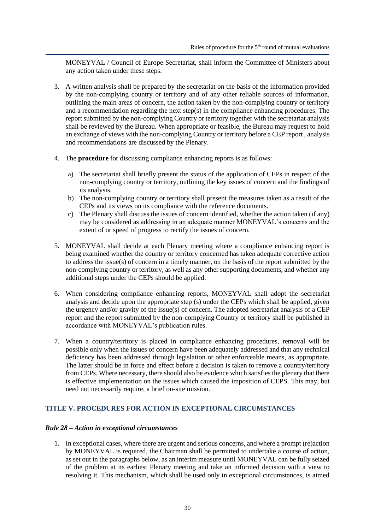MONEYVAL / Council of Europe Secretariat, shall inform the Committee of Ministers about any action taken under these steps.

- 3. A written analysis shall be prepared by the secretariat on the basis of the information provided by the non-complying country or territory and of any other reliable sources of information, outlining the main areas of concern, the action taken by the non-complying country or territory and a recommendation regarding the next step(s) in the compliance enhancing procedures. The report submitted by the non-complying Country or territory together with the secretariat analysis shall be reviewed by the Bureau. When appropriate or feasible, the Bureau may request to hold an exchange of views with the non-complying Country or territory before a CEP report , analysis and recommendations are discussed by the Plenary.
- 4. The **procedure** for discussing compliance enhancing reports is as follows:
	- a) The secretariat shall briefly present the status of the application of CEPs in respect of the non-complying country or territory, outlining the key issues of concern and the findings of its analysis.
	- b) The non-complying country or territory shall present the measures taken as a result of the CEPs and its views on its compliance with the reference documents.
	- c) The Plenary shall discuss the issues of concern identified, whether the action taken (if any) may be considered as addressing in an adequate manner MONEYVAL's concerns and the extent of or speed of progress to rectify the issues of concern.
- 5. MONEYVAL shall decide at each Plenary meeting where a compliance enhancing report is being examined whether the country or territory concerned has taken adequate corrective action to address the issue(s) of concern in a timely manner, on the basis of the report submitted by the non-complying country or territory, as well as any other supporting documents, and whether any additional steps under the CEPs should be applied.
- 6. When considering compliance enhancing reports, MONEYVAL shall adopt the secretariat analysis and decide upon the appropriate step (s) under the CEPs which shall be applied, given the urgency and/or gravity of the issue(s) of concern. The adopted secretariat analysis of a CEP report and the report submitted by the non-complying Country or territory shall be published in accordance with MONEYVAL's publication rules.
- 7. When a country/territory is placed in compliance enhancing procedures, removal will be possible only when the issues of concern have been adequately addressed and that any technical deficiency has been addressed through legislation or other enforceable means, as appropriate. The latter should be in force and effect before a decision is taken to remove a country/territory from CEPs. Where necessary, there should also be evidence which satisfies the plenary that there is effective implementation on the issues which caused the imposition of CEPS. This may, but need not necessarily require, a brief on-site mission.

## <span id="page-29-0"></span>**TITLE V. PROCEDURES FOR ACTION IN EXCEPTIONAL CIRCUMSTANCES**

#### <span id="page-29-1"></span>*Rule 28 – Action in exceptional circumstances*

1. In exceptional cases, where there are urgent and serious concerns, and where a prompt (re)action by MONEYVAL is required, the Chairman shall be permitted to undertake a course of action, as set out in the paragraphs below, as an interim measure until MONEYVAL can be fully seized of the problem at its earliest Plenary meeting and take an informed decision with a view to resolving it. This mechanism, which shall be used only in exceptional circumstances, is aimed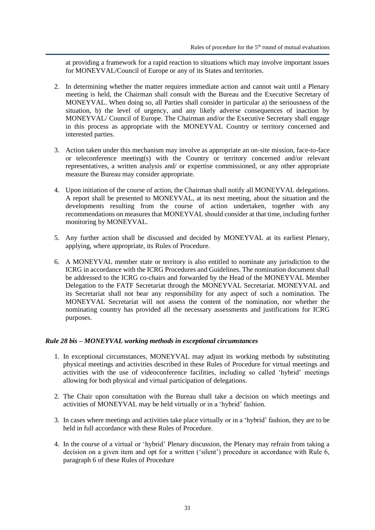at providing a framework for a rapid reaction to situations which may involve important issues for MONEYVAL/Council of Europe or any of its States and territories.

- 2. In determining whether the matter requires immediate action and cannot wait until a Plenary meeting is held, the Chairman shall consult with the Bureau and the Executive Secretary of MONEYVAL. When doing so, all Parties shall consider in particular a) the seriousness of the situation, b) the level of urgency, and any likely adverse consequences of inaction by MONEYVAL/ Council of Europe. The Chairman and/or the Executive Secretary shall engage in this process as appropriate with the MONEYVAL Country or territory concerned and interested parties.
- 3. Action taken under this mechanism may involve as appropriate an on-site mission, face-to-face or teleconference meeting(s) with the Country or territory concerned and/or relevant representatives, a written analysis and/ or expertise commissioned, or any other appropriate measure the Bureau may consider appropriate.
- 4. Upon initiation of the course of action, the Chairman shall notify all MONEYVAL delegations. A report shall be presented to MONEYVAL, at its next meeting, about the situation and the developments resulting from the course of action undertaken, together with any recommendations on measures that MONEYVAL should consider at that time, including further monitoring by MONEYVAL.
- 5. Any further action shall be discussed and decided by MONEYVAL at its earliest Plenary, applying, where appropriate, its Rules of Procedure.
- 6. A MONEYVAL member state or territory is also entitled to nominate any jurisdiction to the ICRG in accordance with the ICRG Procedures and Guidelines. The nomination document shall be addressed to the ICRG co-chairs and forwarded by the Head of the MONEYVAL Member Delegation to the FATF Secretariat through the MONEYVAL Secretariat. MONEYVAL and its Secretariat shall not bear any responsibility for any aspect of such a nomination. The MONEYVAL Secretariat will not assess the content of the nomination, nor whether the nominating country has provided all the necessary assessments and justifications for ICRG purposes.

## <span id="page-30-0"></span>*Rule 28 bis – MONEYVAL working methods in exceptional circumstances*

- 1. In exceptional circumstances, MONEYVAL may adjust its working methods by substituting physical meetings and activities described in these Rules of Procedure for virtual meetings and activities with the use of videoconference facilities, including so called 'hybrid' meetings allowing for both physical and virtual participation of delegations.
- 2. The Chair upon consultation with the Bureau shall take a decision on which meetings and activities of MONEYVAL may be held virtually or in a 'hybrid' fashion.
- 3. In cases where meetings and activities take place virtually or in a 'hybrid' fashion, they are to be held in full accordance with these Rules of Procedure.
- 4. In the course of a virtual or 'hybrid' Plenary discussion, the Plenary may refrain from taking a decision on a given item and opt for a written ('silent') procedure in accordance with Rule 6, paragraph 6 of these Rules of Procedure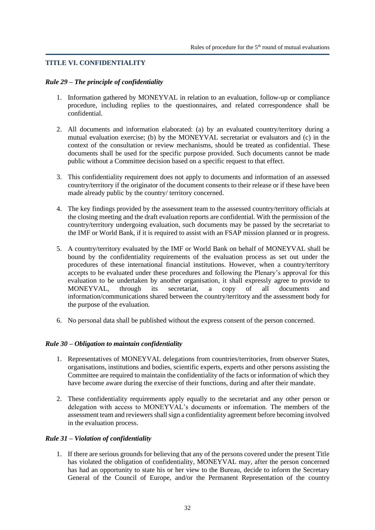## <span id="page-31-0"></span>**TITLE VI. CONFIDENTIALITY**

#### <span id="page-31-1"></span>*Rule 29 – The principle of confidentiality*

- 1. Information gathered by MONEYVAL in relation to an evaluation, follow-up or compliance procedure, including replies to the questionnaires, and related correspondence shall be confidential.
- 2. All documents and information elaborated: (a) by an evaluated country/territory during a mutual evaluation exercise; (b) by the MONEYVAL secretariat or evaluators and (c) in the context of the consultation or review mechanisms, should be treated as confidential. These documents shall be used for the specific purpose provided. Such documents cannot be made public without a Committee decision based on a specific request to that effect.
- 3. This confidentiality requirement does not apply to documents and information of an assessed country/territory if the originator of the document consents to their release or if these have been made already public by the country/ territory concerned.
- 4. The key findings provided by the assessment team to the assessed country/territory officials at the closing meeting and the draft evaluation reports are confidential. With the permission of the country/territory undergoing evaluation, such documents may be passed by the secretariat to the IMF or World Bank, if it is required to assist with an FSAP mission planned or in progress.
- 5. A country/territory evaluated by the IMF or World Bank on behalf of MONEYVAL shall be bound by the confidentiality requirements of the evaluation process as set out under the procedures of these international financial institutions. However, when a country/territory accepts to be evaluated under these procedures and following the Plenary's approval for this evaluation to be undertaken by another organisation, it shall expressly agree to provide to MONEYVAL, through its secretariat, a copy of all documents and information/communications shared between the country/territory and the assessment body for the purpose of the evaluation.
- 6. No personal data shall be published without the express consent of the person concerned.

## <span id="page-31-2"></span>*Rule 30 – Obligation to maintain confidentiality*

- 1. Representatives of MONEYVAL delegations from countries/territories, from observer States, organisations, institutions and bodies, scientific experts, experts and other persons assisting the Committee are required to maintain the confidentiality of the facts or information of which they have become aware during the exercise of their functions, during and after their mandate.
- 2. These confidentiality requirements apply equally to the secretariat and any other person or delegation with access to MONEYVAL's documents or information. The members of the assessment team and reviewers shall sign a confidentiality agreement before becoming involved in the evaluation process.

## <span id="page-31-3"></span>*Rule 31 – Violation of confidentiality*

1. If there are serious grounds for believing that any of the persons covered under the present Title has violated the obligation of confidentiality, MONEYVAL may, after the person concerned has had an opportunity to state his or her view to the Bureau, decide to inform the Secretary General of the Council of Europe, and/or the Permanent Representation of the country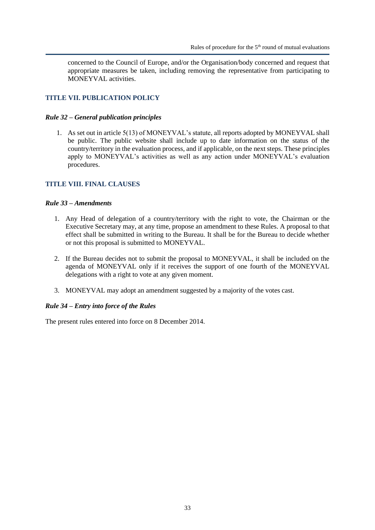concerned to the Council of Europe, and/or the Organisation/body concerned and request that appropriate measures be taken, including removing the representative from participating to MONEYVAL activities.

## <span id="page-32-0"></span>**TITLE VII. PUBLICATION POLICY**

#### <span id="page-32-1"></span>*Rule 32 – General publication principles*

1. As set out in article 5(13) of MONEYVAL's statute, all reports adopted by MONEYVAL shall be public. The public website shall include up to date information on the status of the country/territory in the evaluation process, and if applicable, on the next steps. These principles apply to MONEYVAL's activities as well as any action under MONEYVAL's evaluation procedures.

## <span id="page-32-2"></span>**TITLE VIII. FINAL CLAUSES**

## <span id="page-32-3"></span>*Rule 33 – Amendments*

- 1. Any Head of delegation of a country/territory with the right to vote, the Chairman or the Executive Secretary may, at any time, propose an amendment to these Rules. A proposal to that effect shall be submitted in writing to the Bureau. It shall be for the Bureau to decide whether or not this proposal is submitted to MONEYVAL.
- 2. If the Bureau decides not to submit the proposal to MONEYVAL, it shall be included on the agenda of MONEYVAL only if it receives the support of one fourth of the MONEYVAL delegations with a right to vote at any given moment.
- 3. MONEYVAL may adopt an amendment suggested by a majority of the votes cast.

#### <span id="page-32-4"></span>*Rule 34 – Entry into force of the Rules*

The present rules entered into force on 8 December 2014.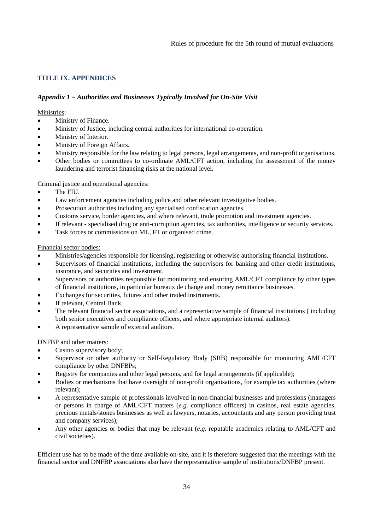# <span id="page-33-0"></span>**TITLE IX. APPENDICES**

# <span id="page-33-1"></span>*Appendix 1 – Authorities and Businesses Typically Involved for On-Site Visit*

## Ministries:

- Ministry of Finance.
- Ministry of Justice, including central authorities for international co-operation.
- Ministry of Interior.
- Ministry of Foreign Affairs.
- Ministry responsible for the law relating to legal persons, legal arrangements, and non-profit organisations.
- Other bodies or committees to co-ordinate AML/CFT action, including the assessment of the money laundering and terrorist financing risks at the national level.

# Criminal justice and operational agencies:

- The FIU.
- Law enforcement agencies including police and other relevant investigative bodies.
- Prosecution authorities including any specialised confiscation agencies.
- Customs service, border agencies, and where relevant, trade promotion and investment agencies.
- If relevant specialised drug or anti-corruption agencies, tax authorities, intelligence or security services.
- Task forces or commissions on ML, FT or organised crime.

# Financial sector bodies:

- Ministries/agencies responsible for licensing, registering or otherwise authorising financial institutions.
- Supervisors of financial institutions, including the supervisors for banking and other credit institutions, insurance, and securities and investment.
- Supervisors or authorities responsible for monitoring and ensuring AML/CFT compliance by other types of financial institutions, in particular bureaux de change and money remittance businesses.
- Exchanges for securities, futures and other traded instruments.
- If relevant, Central Bank.
- The relevant financial sector associations, and a representative sample of financial institutions ( including both senior executives and compliance officers, and where appropriate internal auditors).
- A representative sample of external auditors.

# DNFBP and other matters:

- Casino supervisory body;
- Supervisor or other authority or Self-Regulatory Body (SRB) responsible for monitoring AML/CFT compliance by other DNFBPs;
- Registry for companies and other legal persons, and for legal arrangements (if applicable);
- Bodies or mechanisms that have oversight of non-profit organisations, for example tax authorities (where relevant);
- A representative sample of professionals involved in non-financial businesses and professions (managers or persons in charge of AML/CFT matters (*e.g.* compliance officers) in casinos, real estate agencies, precious metals/stones businesses as well as lawyers, notaries, accountants and any person providing trust and company services);
- Any other agencies or bodies that may be relevant (*e.g.* reputable academics relating to AML/CFT and civil societies).

Efficient use has to be made of the time available on-site, and it is therefore suggested that the meetings with the financial sector and DNFBP associations also have the representative sample of institutions/DNFBP present.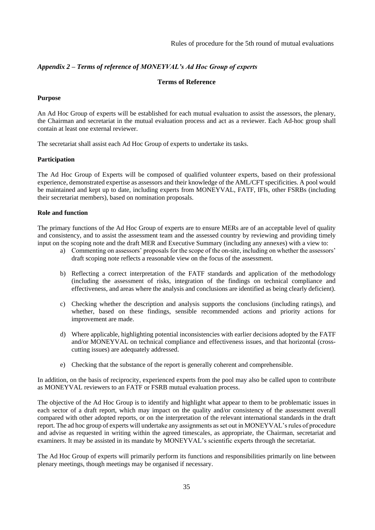## <span id="page-34-0"></span>*Appendix 2 – Terms of reference of MONEYVAL's Ad Hoc Group of experts*

#### **Terms of Reference**

#### **Purpose**

An Ad Hoc Group of experts will be established for each mutual evaluation to assist the assessors, the plenary, the Chairman and secretariat in the mutual evaluation process and act as a reviewer. Each Ad-hoc group shall contain at least one external reviewer.

The secretariat shall assist each Ad Hoc Group of experts to undertake its tasks.

#### **Participation**

The Ad Hoc Group of Experts will be composed of qualified volunteer experts, based on their professional experience, demonstrated expertise as assessors and their knowledge of the AML/CFT specificities. A pool would be maintained and kept up to date, including experts from MONEYVAL, FATF, IFIs, other FSRBs (including their secretariat members), based on nomination proposals.

#### **Role and function**

The primary functions of the Ad Hoc Group of experts are to ensure MERs are of an acceptable level of quality and consistency, and to assist the assessment team and the assessed country by reviewing and providing timely input on the scoping note and the draft MER and Executive Summary (including any annexes) with a view to:

- a) Commenting on assessors' proposals for the scope of the on-site, including on whether the assessors' draft scoping note reflects a reasonable view on the focus of the assessment.
- b) Reflecting a correct interpretation of the FATF standards and application of the methodology (including the assessment of risks, integration of the findings on technical compliance and effectiveness, and areas where the analysis and conclusions are identified as being clearly deficient).
- c) Checking whether the description and analysis supports the conclusions (including ratings), and whether, based on these findings, sensible recommended actions and priority actions for improvement are made.
- d) Where applicable, highlighting potential inconsistencies with earlier decisions adopted by the FATF and/or MONEYVAL on technical compliance and effectiveness issues, and that horizontal (crosscutting issues) are adequately addressed.
- e) Checking that the substance of the report is generally coherent and comprehensible.

In addition, on the basis of reciprocity, experienced experts from the pool may also be called upon to contribute as MONEYVAL reviewers to an FATF or FSRB mutual evaluation process.

The objective of the Ad Hoc Group is to identify and highlight what appear to them to be problematic issues in each sector of a draft report, which may impact on the quality and/or consistency of the assessment overall compared with other adopted reports, or on the interpretation of the relevant international standards in the draft report. The ad hoc group of experts will undertake any assignments as set out in MONEYVAL's rules of procedure and advise as requested in writing within the agreed timescales, as appropriate, the Chairman, secretariat and examiners. It may be assisted in its mandate by MONEYVAL's scientific experts through the secretariat.

The Ad Hoc Group of experts will primarily perform its functions and responsibilities primarily on line between plenary meetings, though meetings may be organised if necessary.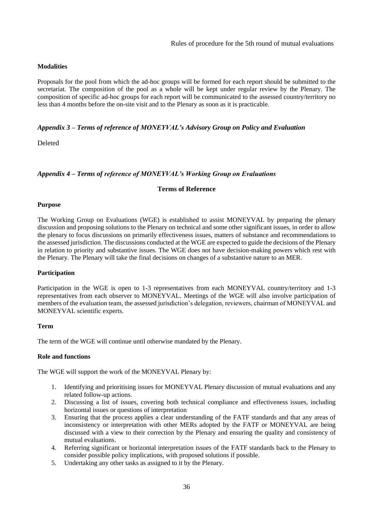#### **Modalities**

Proposals for the pool from which the ad-hoc groups will be formed for each report should be submitted to the secretariat. The composition of the pool as a whole will be kept under regular review by the Plenary. The composition of specific ad-hoc groups for each report will be communicated to the assessed country/territory no less than 4 months before the on-site visit and to the Plenary as soon as it is practicable.

#### <span id="page-35-0"></span>*Appendix 3 – Terms of reference of MONEYVAL's Advisory Group on Policy and Evaluation*

Deleted

#### <span id="page-35-1"></span>*Appendix 4 – Terms of reference of MONEYVAL's Working Group on Evaluations*

#### **Terms of Reference**

#### **Purpose**

The Working Group on Evaluations (WGE) is established to assist MONEYVAL by preparing the plenary discussion and proposing solutions to the Plenary on technical and some other significant issues, in order to allow the plenary to focus discussions on primarily effectiveness issues, matters of substance and recommendations to the assessed jurisdiction. The discussions conducted at the WGE are expected to guide the decisions of the Plenary in relation to priority and substantive issues. The WGE does not have decision-making powers which rest with the Plenary. The Plenary will take the final decisions on changes of a substantive nature to an MER.

#### **Participation**

Participation in the WGE is open to 1-3 representatives from each MONEYVAL country/territory and 1-3 representatives from each observer to MONEYVAL. Meetings of the WGE will also involve participation of members of the evaluation team, the assessed jurisdiction's delegation, reviewers, chairman of MONEYVAL and MONEYVAL scientific experts.

#### **Term**

The term of the WGE will continue until otherwise mandated by the Plenary.

#### **Role and functions**

The WGE will support the work of the MONEYVAL Plenary by:

- 1. Identifying and prioritising issues for MONEYVAL Plenary discussion of mutual evaluations and any related follow-up actions.
- 2. Discussing a list of issues, covering both technical compliance and effectiveness issues, including horizontal issues or questions of interpretation
- 3. Ensuring that the process applies a clear understanding of the FATF standards and that any areas of inconsistency or interpretation with other MERs adopted by the FATF or MONEYVAL are being discussed with a view to their correction by the Plenary and ensuring the quality and consistency of mutual evaluations.
- 4. Referring significant or horizontal interpretation issues of the FATF standards back to the Plenary to consider possible policy implications, with proposed solutions if possible.
- 5. Undertaking any other tasks as assigned to it by the Plenary.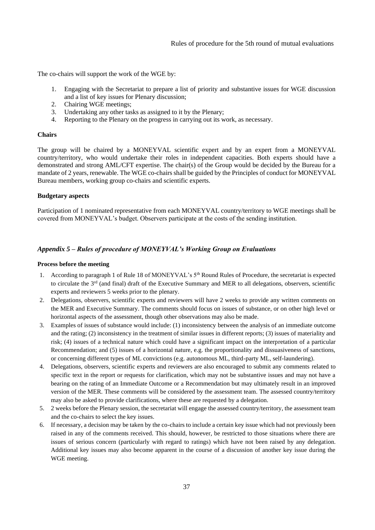The co-chairs will support the work of the WGE by:

- 1. Engaging with the Secretariat to prepare a list of priority and substantive issues for WGE discussion and a list of key issues for Plenary discussion;
- 2. Chairing WGE meetings;
- 3. Undertaking any other tasks as assigned to it by the Plenary;
- 4. Reporting to the Plenary on the progress in carrying out its work, as necessary.

#### **Chairs**

The group will be chaired by a MONEYVAL scientific expert and by an expert from a MONEYVAL country/territory, who would undertake their roles in independent capacities. Both experts should have a demonstrated and strong AML/CFT expertise. The chair(s) of the Group would be decided by the Bureau for a mandate of 2 years, renewable. The WGE co-chairs shall be guided by the Principles of conduct for MONEYVAL Bureau members, working group co-chairs and scientific experts.

#### **Budgetary aspects**

Participation of 1 nominated representative from each MONEYVAL country/territory to WGE meetings shall be covered from MONEYVAL's budget. Observers participate at the costs of the sending institution.

#### <span id="page-36-0"></span>*Appendix 5 – Rules of procedure of MONEYVAL's Working Group on Evaluations*

#### **Process before the meeting**

- 1. According to paragraph 1 of Rule 18 of MONEYVAL's 5<sup>th</sup> Round Rules of Procedure, the secretariat is expected to circulate the 3<sup>rd</sup> (and final) draft of the Executive Summary and MER to all delegations, observers, scientific experts and reviewers 5 weeks prior to the plenary.
- 2. Delegations, observers, scientific experts and reviewers will have 2 weeks to provide any written comments on the MER and Executive Summary. The comments should focus on issues of substance, or on other high level or horizontal aspects of the assessment, though other observations may also be made.
- 3. Examples of issues of substance would include: (1) inconsistency between the analysis of an immediate outcome and the rating; (2) inconsistency in the treatment of similar issues in different reports; (3) issues of materiality and risk; (4) issues of a technical nature which could have a significant impact on the interpretation of a particular Recommendation; and (5) issues of a horizontal nature, e.g. the proportionality and dissuasiveness of sanctions, or concerning different types of ML convictions (e.g. autonomous ML, third-party ML, self-laundering).
- 4. Delegations, observers, scientific experts and reviewers are also encouraged to submit any comments related to specific text in the report or requests for clarification, which may not be substantive issues and may not have a bearing on the rating of an Immediate Outcome or a Recommendation but may ultimately result in an improved version of the MER. These comments will be considered by the assessment team. The assessed country/territory may also be asked to provide clarifications, where these are requested by a delegation.
- 5. 2 weeks before the Plenary session, the secretariat will engage the assessed country/territory, the assessment team and the co-chairs to select the key issues.
- 6. If necessary, a decision may be taken by the co-chairs to include a certain key issue which had not previously been raised in any of the comments received. This should, however, be restricted to those situations where there are issues of serious concern (particularly with regard to ratings) which have not been raised by any delegation. Additional key issues may also become apparent in the course of a discussion of another key issue during the WGE meeting.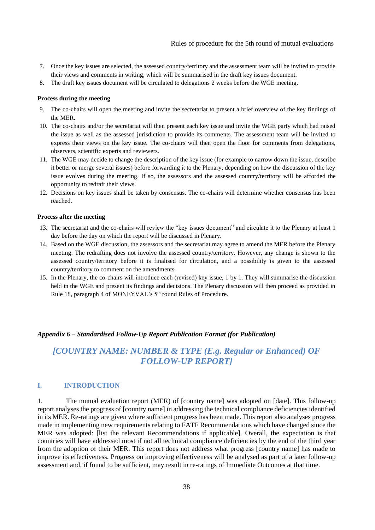- 7. Once the key issues are selected, the assessed country/territory and the assessment team will be invited to provide their views and comments in writing, which will be summarised in the draft key issues document.
- 8. The draft key issues document will be circulated to delegations 2 weeks before the WGE meeting.

#### **Process during the meeting**

- 9. The co-chairs will open the meeting and invite the secretariat to present a brief overview of the key findings of the MER.
- 10. The co-chairs and/or the secretariat will then present each key issue and invite the WGE party which had raised the issue as well as the assessed jurisdiction to provide its comments. The assessment team will be invited to express their views on the key issue. The co-chairs will then open the floor for comments from delegations, observers, scientific experts and reviewers.
- 11. The WGE may decide to change the description of the key issue (for example to narrow down the issue, describe it better or merge several issues) before forwarding it to the Plenary, depending on how the discussion of the key issue evolves during the meeting. If so, the assessors and the assessed country/territory will be afforded the opportunity to redraft their views.
- 12. Decisions on key issues shall be taken by consensus. The co-chairs will determine whether consensus has been reached.

#### **Process after the meeting**

- 13. The secretariat and the co-chairs will review the "key issues document" and circulate it to the Plenary at least 1 day before the day on which the report will be discussed in Plenary.
- 14. Based on the WGE discussion, the assessors and the secretariat may agree to amend the MER before the Plenary meeting. The redrafting does not involve the assessed country/territory. However, any change is shown to the assessed country/territory before it is finalised for circulation, and a possibility is given to the assessed country/territory to comment on the amendments.
- 15. In the Plenary, the co-chairs will introduce each (revised) key issue, 1 by 1. They will summarise the discussion held in the WGE and present its findings and decisions. The Plenary discussion will then proceed as provided in Rule 18, paragraph 4 of MONEYVAL's 5th round Rules of Procedure.

## <span id="page-37-0"></span>*Appendix 6 – Standardised Follow-Up Report Publication Format (for Publication)*

# *[COUNTRY NAME: NUMBER & TYPE (E.g. Regular or Enhanced) OF FOLLOW-UP REPORT]*

# **I. INTRODUCTION**

1. The mutual evaluation report (MER) of [country name] was adopted on [date]. This follow-up report analyses the progress of [country name] in addressing the technical compliance deficiencies identified in its MER. Re-ratings are given where sufficient progress has been made. This report also analyses progress made in implementing new requirements relating to FATF Recommendations which have changed since the MER was adopted: [list the relevant Recommendations if applicable]. Overall, the expectation is that countries will have addressed most if not all technical compliance deficiencies by the end of the third year from the adoption of their MER. This report does not address what progress [country name] has made to improve its effectiveness. Progress on improving effectiveness will be analysed as part of a later follow-up assessment and, if found to be sufficient, may result in re-ratings of Immediate Outcomes at that time.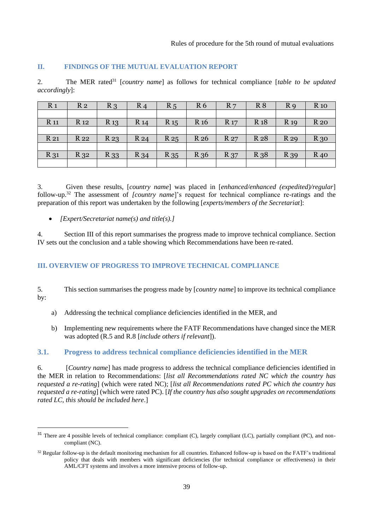## **II. FINDINGS OF THE MUTUAL EVALUATION REPORT**

2. The MER rated<sup>31</sup> [*country name*] as follows for technical compliance [*table to be updated accordingly*]:

| R <sub>1</sub> | R <sub>2</sub>  | $R_3$    | $R_4$           | R <sub>5</sub> | R <sub>6</sub>  | R <sub>7</sub> | R8              | R <sub>9</sub> | $R_{10}$    |
|----------------|-----------------|----------|-----------------|----------------|-----------------|----------------|-----------------|----------------|-------------|
|                |                 |          |                 |                |                 |                |                 |                |             |
| <b>R</b> 11    | R <sub>12</sub> | $R_{13}$ | R <sub>14</sub> | $R_{15}$       | R <sub>16</sub> | $R_{17}$       | R <sub>18</sub> | $R_{19}$       | <b>R</b> 20 |
|                |                 |          |                 |                |                 |                |                 |                |             |
| R 21           | R 22            | $R_{23}$ | R <sub>24</sub> | $R_{25}$       | R 26            | R 27           | R <sub>28</sub> | R 29           | $R_{30}$    |
|                |                 |          |                 |                |                 |                |                 |                |             |
| R 31           | $R_{32}$        | R 33     | $R_{34}$        | $R_{35}$       | R 36            | R 37           | $R_{38}$        | R 39           | $R_{40}$    |
|                |                 |          |                 |                |                 |                |                 |                |             |

3. Given these results, [*country name*] was placed in [*enhanced/enhanced (expedited)/regular*] follow-up.<sup>32</sup> The assessment of *[country name*]'s request for technical compliance re-ratings and the preparation of this report was undertaken by the following [*experts/members of the Secretariat*]:

• *[Expert/Secretariat name(s) and title(s).]* 

4. Section III of this report summarises the progress made to improve technical compliance. Section IV sets out the conclusion and a table showing which Recommendations have been re-rated.

## **III. OVERVIEW OF PROGRESS TO IMPROVE TECHNICAL COMPLIANCE**

5. This section summarises the progress made by [*country name*] to improve its technical compliance by:

- a) Addressing the technical compliance deficiencies identified in the MER, and
- b) Implementing new requirements where the FATF Recommendations have changed since the MER was adopted (R.5 and R.8 [*include others if relevant*]).

#### **3.1. Progress to address technical compliance deficiencies identified in the MER**

6. [*Country name*] has made progress to address the technical compliance deficiencies identified in the MER in relation to Recommendations: [*list all Recommendations rated NC which the country has requested a re-rating*] (which were rated NC); [*list all Recommendations rated PC which the country has requested a re-rating*] (which were rated PC). [*If the country has also sought upgrades on recommendations rated LC, this should be included here*.]

<sup>&</sup>lt;sup>31</sup> There are 4 possible levels of technical compliance: compliant (C), largely compliant (LC), partially compliant (PC), and noncompliant (NC).

 $32$  Regular follow-up is the default monitoring mechanism for all countries. Enhanced follow-up is based on the FATF's traditional policy that deals with members with significant deficiencies (for technical compliance or effectiveness) in their AML/CFT systems and involves a more intensive process of follow-up.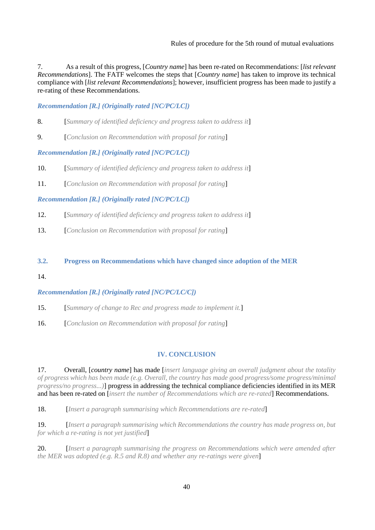Rules of procedure for the 5th round of mutual evaluations

7. As a result of this progress, [*Country name*] has been re-rated on Recommendations: [*list relevant Recommendations*]. The FATF welcomes the steps that [*Country name*] has taken to improve its technical compliance with [*list relevant Recommendations*]; however, insufficient progress has been made to justify a re-rating of these Recommendations.

*Recommendation [R.] (Originally rated [NC/PC/LC])* 

- 8. [*Summary of identified deficiency and progress taken to address it*]
- 9. [*Conclusion on Recommendation with proposal for rating*]

## *Recommendation [R.] (Originally rated [NC/PC/LC])*

- 10. [*Summary of identified deficiency and progress taken to address it*]
- 11. [*Conclusion on Recommendation with proposal for rating*]

## *Recommendation [R.] (Originally rated [NC/PC/LC])*

- 12. [*Summary of identified deficiency and progress taken to address it*]
- 13. [*Conclusion on Recommendation with proposal for rating*]

## **3.2. Progress on Recommendations which have changed since adoption of the MER**

14.

## *Recommendation [R.] (Originally rated [NC/PC/LC/C])*

- 15. [*Summary of change to Rec and progress made to implement it.*]
- 16. [*Conclusion on Recommendation with proposal for rating*]

# **IV. CONCLUSION**

17. Overall, [*country name*] has made [*insert language giving an overall judgment about the totality of progress which has been made (e.g. Overall, the country has made good progress/some progress/minimal progress/no progress...)*] progress in addressing the technical compliance deficiencies identified in its MER and has been re-rated on [*insert the number of Recommendations which are re-rated*] Recommendations.

18. [*Insert a paragraph summarising which Recommendations are re-rated*]

19. [*Insert a paragraph summarising which Recommendations the country has made progress on, but for which a re-rating is not yet justified*]

20. [*Insert a paragraph summarising the progress on Recommendations which were amended after the MER was adopted (e.g. R.5 and R.8) and whether any re-ratings were given*]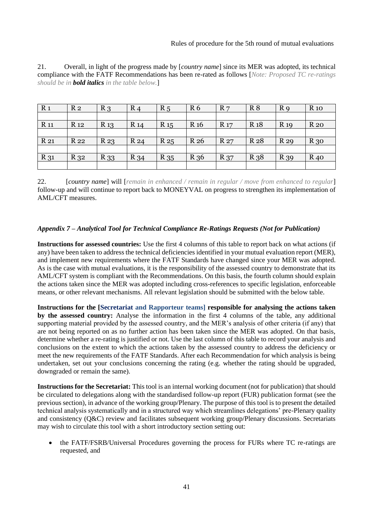Rules of procedure for the 5th round of mutual evaluations

| 21. | Overall, in light of the progress made by [ <i>country name</i> ] since its MER was adopted, its technical |  |
|-----|------------------------------------------------------------------------------------------------------------|--|
|     | compliance with the FATF Recommendations has been re-rated as follows [Note: Proposed TC re-ratings]       |  |
|     | should be in <b>bold italics</b> in the table below.]                                                      |  |

| R <sub>1</sub> | R <sub>2</sub>  | $R_3$           | $R_4$           | R <sub>5</sub> | R <sub>6</sub>  | R <sub>7</sub> | R8              | R <sub>9</sub> | <b>R</b> 10 |
|----------------|-----------------|-----------------|-----------------|----------------|-----------------|----------------|-----------------|----------------|-------------|
|                |                 |                 |                 |                |                 |                |                 |                |             |
| <b>R</b> 11    | R <sub>12</sub> | R <sub>13</sub> | R <sub>14</sub> | $R_{15}$       | R <sub>16</sub> | <b>R</b> 17    | R <sub>18</sub> | <b>R</b> 19    | <b>R</b> 20 |
|                |                 |                 |                 |                |                 |                |                 |                |             |
| R 21           | R 22            | $R_{23}$        | R 24            | $R_{25}$       | R 26            | R 27           | R 28            | R 29           | $R_{30}$    |
|                |                 |                 |                 |                |                 |                |                 |                |             |
| R 31           | $R_{32}$        | R 33            | R 34            | $R_{35}$       | R 36            | R 37           | R 38            | R 39           | $R_{40}$    |
|                |                 |                 |                 |                |                 |                |                 |                |             |

22. [*country name*] will [*remain in enhanced / remain in regular / move from enhanced to regular*] follow-up and will continue to report back to MONEYVAL on progress to strengthen its implementation of AML/CFT measures.

## <span id="page-40-0"></span>*Appendix 7 – Analytical Tool for Technical Compliance Re-Ratings Requests (Not for Publication)*

**Instructions for assessed countries:** Use the first 4 columns of this table to report back on what actions (if any) have been taken to address the technical deficiencies identified in your mutual evaluation report (MER), and implement new requirements where the FATF Standards have changed since your MER was adopted. As is the case with mutual evaluations, it is the responsibility of the assessed country to demonstrate that its AML/CFT system is compliant with the Recommendations. On this basis, the fourth column should explain the actions taken since the MER was adopted including cross-references to specific legislation, enforceable means, or other relevant mechanisms. All relevant legislation should be submitted with the below table.

**Instructions for the [Secretariat and Rapporteur teams] responsible for analysing the actions taken by the assessed country:** Analyse the information in the first 4 columns of the table, any additional supporting material provided by the assessed country, and the MER's analysis of other criteria (if any) that are not being reported on as no further action has been taken since the MER was adopted. On that basis, determine whether a re-rating is justified or not. Use the last column of this table to record your analysis and conclusions on the extent to which the actions taken by the assessed country to address the deficiency or meet the new requirements of the FATF Standards. After each Recommendation for which analysis is being undertaken, set out your conclusions concerning the rating (e.g. whether the rating should be upgraded, downgraded or remain the same).

**Instructions for the Secretariat:** This tool is an internal working document (not for publication) that should be circulated to delegations along with the standardised follow-up report (FUR) publication format (see the previous section), in advance of the working group/Plenary. The purpose of this tool is to present the detailed technical analysis systematically and in a structured way which streamlines delegations' pre-Plenary quality and consistency (Q&C) review and facilitates subsequent working group/Plenary discussions. Secretariats may wish to circulate this tool with a short introductory section setting out:

• the FATF/FSRB/Universal Procedures governing the process for FURs where TC re-ratings are requested, and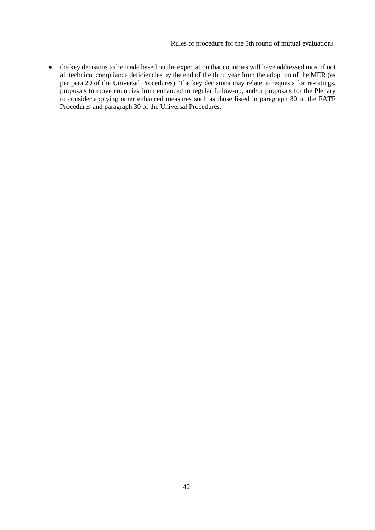Rules of procedure for the 5th round of mutual evaluations

• the key decisions to be made based on the expectation that countries will have addressed most if not all technical compliance deficiencies by the end of the third year from the adoption of the MER (as per para.29 of the Universal Procedures). The key decisions may relate to requests for re-ratings, proposals to move countries from enhanced to regular follow-up, and/or proposals for the Plenary to consider applying other enhanced measures such as those listed in paragraph 80 of the FATF Procedures and paragraph 30 of the Universal Procedures.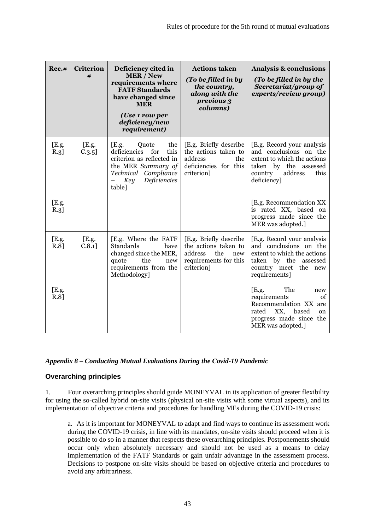| Rec.#            | <b>Criterion</b><br># | Deficiency cited in<br><b>MER/New</b><br>requirements where<br><b>FATF Standards</b><br>have changed since<br><b>MER</b><br>(Use 1 row per<br>deficiency/new<br>requirement) | <b>Actions taken</b><br>(To be filled in by<br>the country,<br>along with the<br>previous 3<br>columns)        | <b>Analysis &amp; conclusions</b><br>(To be filled in by the<br>Secretariat/group of<br>experts/review group)                                             |
|------------------|-----------------------|------------------------------------------------------------------------------------------------------------------------------------------------------------------------------|----------------------------------------------------------------------------------------------------------------|-----------------------------------------------------------------------------------------------------------------------------------------------------------|
| [E.g.<br>R.3]    | [E.g.<br>$C.3.5$ ]    | the<br>E.g.<br>Quote<br>this<br>deficiencies<br>for<br>criterion as reflected in<br>the MER Summary of<br>Technical Compliance<br>Deficiencies<br>Key<br>table]              | [E.g. Briefly describe<br>the actions taken to<br>address<br>the<br>deficiencies for this<br>criterion]        | [E.g. Record your analysis<br>and conclusions on the<br>extent to which the actions<br>taken by the assessed<br>address<br>country<br>this<br>deficiency] |
| [E.g.<br>R.3]    |                       |                                                                                                                                                                              |                                                                                                                | [E.g. Recommendation XX]<br>is rated XX, based on<br>progress made since the<br>MER was adopted.]                                                         |
| [E.g.<br>R.8]    | [E.g.<br>$C.8.1$ ]    | [E.g. Where the FATF<br>Standards<br>have<br>changed since the MER,<br>quote<br>the<br>new<br>requirements from the<br>Methodology]                                          | [E.g. Briefly describe<br>the actions taken to<br>address<br>the<br>new<br>requirements for this<br>criterion] | [E.g. Record your analysis<br>and conclusions on the<br>extent to which the actions<br>taken by the assessed<br>country meet the<br>new<br>requirements]  |
| [E.g.<br>$R.8$ ] |                       |                                                                                                                                                                              |                                                                                                                | The<br>E.g.<br>new<br>requirements<br>of<br>Recommendation XX are<br>XX,<br>rated<br>based<br>on<br>progress made since the<br>MER was adopted.]          |

# <span id="page-42-0"></span>*Appendix 8 – Conducting Mutual Evaluations During the Covid-19 Pandemic*

# **Overarching principles**

1. Four overarching principles should guide MONEYVAL in its application of greater flexibility for using the so-called hybrid on-site visits (physical on-site visits with some virtual aspects), and its implementation of objective criteria and procedures for handling MEs during the COVID-19 crisis:

a. As it is important for MONEYVAL to adapt and find ways to continue its assessment work during the COVID-19 crisis, in line with its mandates, on-site visits should proceed when it is possible to do so in a manner that respects these overarching principles. Postponements should occur only when absolutely necessary and should not be used as a means to delay implementation of the FATF Standards or gain unfair advantage in the assessment process. Decisions to postpone on-site visits should be based on objective criteria and procedures to avoid any arbitrariness.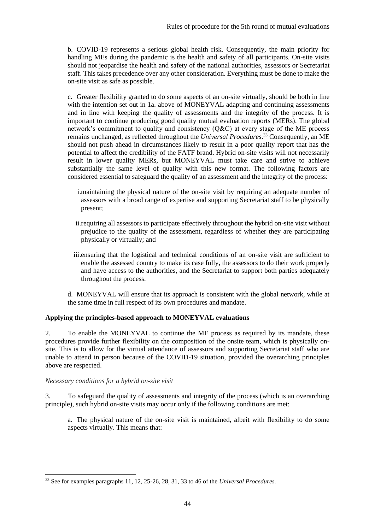b. COVID-19 represents a serious global health risk. Consequently, the main priority for handling MEs during the pandemic is the health and safety of all participants. On-site visits should not jeopardise the health and safety of the national authorities, assessors or Secretariat staff. This takes precedence over any other consideration. Everything must be done to make the on-site visit as safe as possible.

c. Greater flexibility granted to do some aspects of an on-site virtually, should be both in line with the intention set out in 1a. above of MONEYVAL adapting and continuing assessments and in line with keeping the quality of assessments and the integrity of the process. It is important to continue producing good quality mutual evaluation reports (MERs). The global network's commitment to quality and consistency (Q&C) at every stage of the ME process remains unchanged, as reflected throughout the *Universal Procedures*. <sup>33</sup> Consequently, an ME should not push ahead in circumstances likely to result in a poor quality report that has the potential to affect the credibility of the FATF brand. Hybrid on-site visits will not necessarily result in lower quality MERs, but MONEYVAL must take care and strive to achieve substantially the same level of quality with this new format. The following factors are considered essential to safeguard the quality of an assessment and the integrity of the process:

- i.maintaining the physical nature of the on-site visit by requiring an adequate number of assessors with a broad range of expertise and supporting Secretariat staff to be physically present;
- ii.requiring all assessors to participate effectively throughout the hybrid on-site visit without prejudice to the quality of the assessment, regardless of whether they are participating physically or virtually; and
- iii.ensuring that the logistical and technical conditions of an on-site visit are sufficient to enable the assessed country to make its case fully, the assessors to do their work properly and have access to the authorities, and the Secretariat to support both parties adequately throughout the process.
- d. MONEYVAL will ensure that its approach is consistent with the global network, while at the same time in full respect of its own procedures and mandate.

# **Applying the principles-based approach to MONEYVAL evaluations**

2. To enable the MONEYVAL to continue the ME process as required by its mandate, these procedures provide further flexibility on the composition of the onsite team, which is physically onsite. This is to allow for the virtual attendance of assessors and supporting Secretariat staff who are unable to attend in person because of the COVID-19 situation, provided the overarching principles above are respected.

## *Necessary conditions for a hybrid on-site visit*

3. To safeguard the quality of assessments and integrity of the process (which is an overarching principle), such hybrid on-site visits may occur only if the following conditions are met:

a. The physical nature of the on-site visit is maintained, albeit with flexibility to do some aspects virtually. This means that:

<sup>33</sup> See for examples paragraphs 11, 12, 25-26, 28, 31, 33 to 46 of the *Universal Procedures.*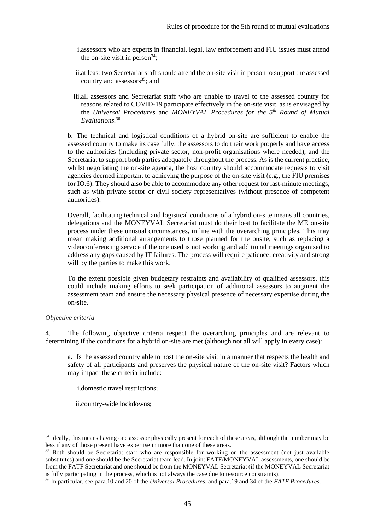- i.assessors who are experts in financial, legal, law enforcement and FIU issues must attend the on-site visit in person $34$ ;
- ii.at least two Secretariat staff should attend the on-site visit in person to support the assessed country and assessors $35$ ; and
- iii.all assessors and Secretariat staff who are unable to travel to the assessed country for reasons related to COVID-19 participate effectively in the on-site visit, as is envisaged by the *Universal Procedures* and *MONEYVAL Procedures for the 5th Round of Mutual Evaluations.*<sup>36</sup>

b. The technical and logistical conditions of a hybrid on-site are sufficient to enable the assessed country to make its case fully, the assessors to do their work properly and have access to the authorities (including private sector, non-profit organisations where needed), and the Secretariat to support both parties adequately throughout the process. As is the current practice, whilst negotiating the on-site agenda, the host country should accommodate requests to visit agencies deemed important to achieving the purpose of the on-site visit (e.g., the FIU premises for IO.6). They should also be able to accommodate any other request for last-minute meetings, such as with private sector or civil society representatives (without presence of competent authorities).

Overall, facilitating technical and logistical conditions of a hybrid on-site means all countries, delegations and the MONEYVAL Secretariat must do their best to facilitate the ME on-site process under these unusual circumstances, in line with the overarching principles. This may mean making additional arrangements to those planned for the onsite, such as replacing a videoconferencing service if the one used is not working and additional meetings organised to address any gaps caused by IT failures. The process will require patience, creativity and strong will by the parties to make this work.

To the extent possible given budgetary restraints and availability of qualified assessors, this could include making efforts to seek participation of additional assessors to augment the assessment team and ensure the necessary physical presence of necessary expertise during the on-site.

# *Objective criteria*

4. The following objective criteria respect the overarching principles and are relevant to determining if the conditions for a hybrid on-site are met (although not all will apply in every case):

a. Is the assessed country able to host the on-site visit in a manner that respects the health and safety of all participants and preserves the physical nature of the on-site visit? Factors which may impact these criteria include:

i.domestic travel restrictions;

ii.country-wide lockdowns;

<sup>&</sup>lt;sup>34</sup> Ideally, this means having one assessor physically present for each of these areas, although the number may be less if any of those present have expertise in more than one of these areas.

<sup>&</sup>lt;sup>35</sup> Both should be Secretariat staff who are responsible for working on the assessment (not just available substitutes) and one should be the Secretariat team lead. In joint FATF/MONEYVAL assessments, one should be from the FATF Secretariat and one should be from the MONEYVAL Secretariat (if the MONEYVAL Secretariat is fully participating in the process, which is not always the case due to resource constraints).

<sup>36</sup> In particular, see para.10 and 20 of the *Universal Procedures,* and para.19 and 34 of the *FATF Procedures.*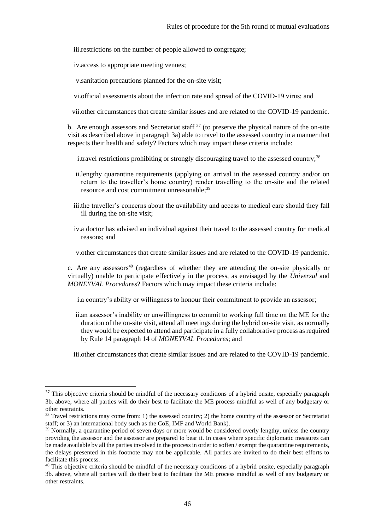iii.restrictions on the number of people allowed to congregate;

iv.access to appropriate meeting venues;

v.sanitation precautions planned for the on-site visit;

vi.official assessments about the infection rate and spread of the COVID-19 virus; and

vii.other circumstances that create similar issues and are related to the COVID-19 pandemic.

b. Are enough assessors and Secretariat staff  $37$  (to preserve the physical nature of the on-site visit as described above in paragraph 3a) able to travel to the assessed country in a manner that respects their health and safety? Factors which may impact these criteria include:

i.travel restrictions prohibiting or strongly discouraging travel to the assessed country;<sup>38</sup>

- ii.lengthy quarantine requirements (applying on arrival in the assessed country and/or on return to the traveller's home country) render travelling to the on-site and the related resource and cost commitment unreasonable:<sup>39</sup>
- iii.the traveller's concerns about the availability and access to medical care should they fall ill during the on-site visit;
- iv.a doctor has advised an individual against their travel to the assessed country for medical reasons; and

v.other circumstances that create similar issues and are related to the COVID-19 pandemic.

c. Are any assessors<sup>40</sup> (regardless of whether they are attending the on-site physically or virtually) unable to participate effectively in the process, as envisaged by the *Universal* and *MONEYVAL Procedures*? Factors which may impact these criteria include:

i.a country's ability or willingness to honour their commitment to provide an assessor;

ii.an assessor's inability or unwillingness to commit to working full time on the ME for the duration of the on-site visit, attend all meetings during the hybrid on-site visit, as normally they would be expected to attend and participate in a fully collaborative process as required by Rule 14 paragraph 14 of *MONEYVAL Procedures*; and

iii.other circumstances that create similar issues and are related to the COVID-19 pandemic.

<sup>&</sup>lt;sup>37</sup> This objective criteria should be mindful of the necessary conditions of a hybrid onsite, especially paragraph 3b. above, where all parties will do their best to facilitate the ME process mindful as well of any budgetary or other restraints.

 $38$  Travel restrictions may come from: 1) the assessed country; 2) the home country of the assessor or Secretariat staff; or 3) an international body such as the CoE, IMF and World Bank).

<sup>&</sup>lt;sup>39</sup> Normally, a quarantine period of seven days or more would be considered overly lengthy, unless the country providing the assessor and the assessor are prepared to bear it. In cases where specific diplomatic measures can be made available by all the parties involved in the process in order to soften / exempt the quarantine requirements, the delays presented in this footnote may not be applicable. All parties are invited to do their best efforts to facilitate this process.

<sup>&</sup>lt;sup>40</sup> This objective criteria should be mindful of the necessary conditions of a hybrid onsite, especially paragraph 3b. above, where all parties will do their best to facilitate the ME process mindful as well of any budgetary or other restraints.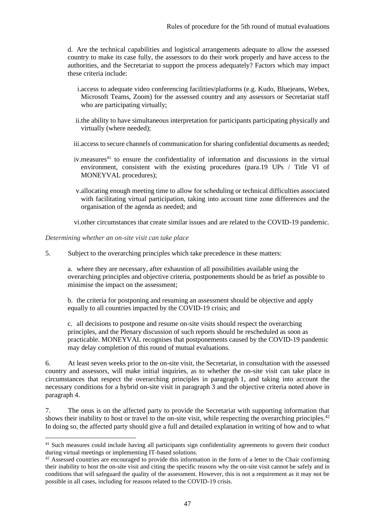d. Are the technical capabilities and logistical arrangements adequate to allow the assessed country to make its case fully, the assessors to do their work properly and have access to the authorities, and the Secretariat to support the process adequately? Factors which may impact these criteria include:

- i.access to adequate video conferencing facilities/platforms (e.g. Kudo, Bluejeans, Webex, Microsoft Teams, Zoom) for the assessed country and any assessors or Secretariat staff who are participating virtually;
- ii.the ability to have simultaneous interpretation for participants participating physically and virtually (where needed);
- iii.access to secure channels of communication for sharing confidential documents as needed;
- $iv$  measures<sup>41</sup> to ensure the confidentiality of information and discussions in the virtual environment, consistent with the existing procedures (para.19 UPs / Title VI of MONEYVAL procedures);
- v.allocating enough meeting time to allow for scheduling or technical difficulties associated with facilitating virtual participation, taking into account time zone differences and the organisation of the agenda as needed; and

vi.other circumstances that create similar issues and are related to the COVID-19 pandemic.

*Determining whether an on-site visit can take place* 

5. Subject to the overarching principles which take precedence in these matters:

a. where they are necessary, after exhaustion of all possibilities available using the overarching principles and objective criteria, postponements should be as brief as possible to minimise the impact on the assessment;

b. the criteria for postponing and resuming an assessment should be objective and apply equally to all countries impacted by the COVID-19 crisis; and

c. all decisions to postpone and resume on-site visits should respect the overarching principles, and the Plenary discussion of such reports should be rescheduled as soon as practicable. MONEYVAL recognises that postponements caused by the COVID-19 pandemic may delay completion of this round of mutual evaluations.

6. At least seven weeks prior to the on-site visit, the Secretariat, in consultation with the assessed country and assessors, will make initial inquiries, as to whether the on-site visit can take place in circumstances that respect the overarching principles in paragraph 1, and taking into account the necessary conditions for a hybrid on-site visit in paragraph 3 and the objective criteria noted above in paragraph 4.

7. The onus is on the affected party to provide the Secretariat with supporting information that shows their inability to host or travel to the on-site visit, while respecting the overarching principles.<sup>42</sup> In doing so, the affected party should give a full and detailed explanation in writing of how and to what

<sup>&</sup>lt;sup>41</sup> Such measures could include having all participants sign confidentiality agreements to govern their conduct during virtual meetings or implementing IT-based solutions.

<sup>&</sup>lt;sup>42</sup> Assessed countries are encouraged to provide this information in the form of a letter to the Chair confirming their inability to host the on-site visit and citing the specific reasons why the on-site visit cannot be safely and in conditions that will safeguard the quality of the assessment. However, this is not a requirement as it may not be possible in all cases, including for reasons related to the COVID-19 crisis.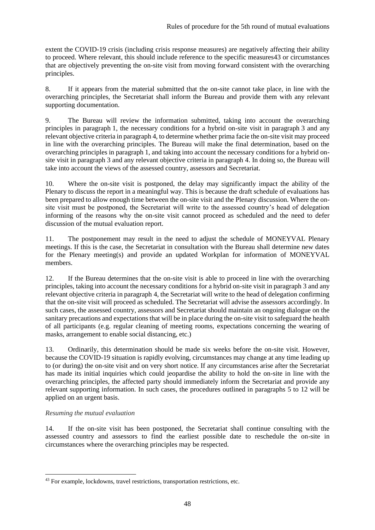extent the COVID-19 crisis (including crisis response measures) are negatively affecting their ability to proceed. Where relevant, this should include reference to the specific measures43 or circumstances that are objectively preventing the on-site visit from moving forward consistent with the overarching principles.

8. If it appears from the material submitted that the on-site cannot take place, in line with the overarching principles, the Secretariat shall inform the Bureau and provide them with any relevant supporting documentation.

9. The Bureau will review the information submitted, taking into account the overarching principles in paragraph 1, the necessary conditions for a hybrid on-site visit in paragraph 3 and any relevant objective criteria in paragraph 4, to determine whether prima facie the on-site visit may proceed in line with the overarching principles. The Bureau will make the final determination, based on the overarching principles in paragraph 1, and taking into account the necessary conditions for a hybrid onsite visit in paragraph 3 and any relevant objective criteria in paragraph 4. In doing so, the Bureau will take into account the views of the assessed country, assessors and Secretariat.

10. Where the on-site visit is postponed, the delay may significantly impact the ability of the Plenary to discuss the report in a meaningful way. This is because the draft schedule of evaluations has been prepared to allow enough time between the on-site visit and the Plenary discussion. Where the onsite visit must be postponed, the Secretariat will write to the assessed country's head of delegation informing of the reasons why the on-site visit cannot proceed as scheduled and the need to defer discussion of the mutual evaluation report.

11. The postponement may result in the need to adjust the schedule of MONEYVAL Plenary meetings. If this is the case, the Secretariat in consultation with the Bureau shall determine new dates for the Plenary meeting(s) and provide an updated Workplan for information of MONEYVAL members.

12. If the Bureau determines that the on-site visit is able to proceed in line with the overarching principles, taking into account the necessary conditions for a hybrid on-site visit in paragraph 3 and any relevant objective criteria in paragraph 4, the Secretariat will write to the head of delegation confirming that the on-site visit will proceed as scheduled. The Secretariat will advise the assessors accordingly. In such cases, the assessed country, assessors and Secretariat should maintain an ongoing dialogue on the sanitary precautions and expectations that will be in place during the on-site visit to safeguard the health of all participants (e.g. regular cleaning of meeting rooms, expectations concerning the wearing of masks, arrangement to enable social distancing, etc.)

13. Ordinarily, this determination should be made six weeks before the on-site visit. However, because the COVID-19 situation is rapidly evolving, circumstances may change at any time leading up to (or during) the on-site visit and on very short notice. If any circumstances arise after the Secretariat has made its initial inquiries which could jeopardise the ability to hold the on-site in line with the overarching principles, the affected party should immediately inform the Secretariat and provide any relevant supporting information. In such cases, the procedures outlined in paragraphs 5 to 12 will be applied on an urgent basis.

# *Resuming the mutual evaluation*

14. If the on-site visit has been postponed, the Secretariat shall continue consulting with the assessed country and assessors to find the earliest possible date to reschedule the on-site in circumstances where the overarching principles may be respected.

<sup>&</sup>lt;sup>43</sup> For example, lockdowns, travel restrictions, transportation restrictions, etc.